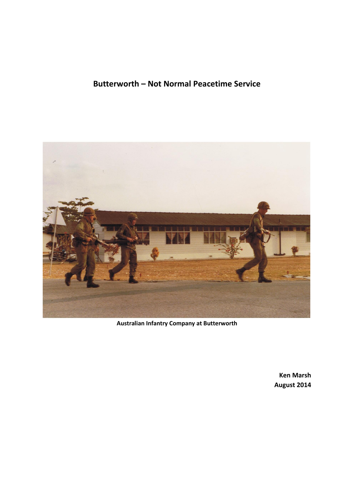

**Australian Infantry Company at Butterworth**

**Ken Marsh August 2014**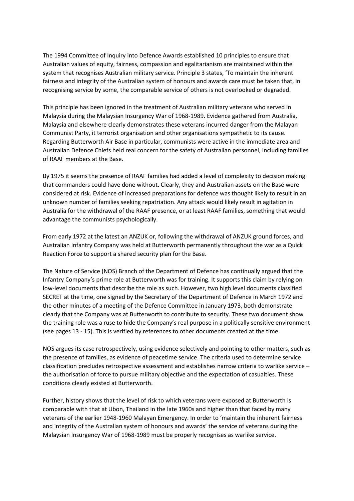The 1994 Committee of Inquiry into Defence Awards established 10 principles to ensure that Australian values of equity, fairness, compassion and egalitarianism are maintained within the system that recognises Australian military service. Principle 3 states, 'To maintain the inherent fairness and integrity of the Australian system of honours and awards care must be taken that, in recognising service by some, the comparable service of others is not overlooked or degraded.

This principle has been ignored in the treatment of Australian military veterans who served in Malaysia during the Malaysian Insurgency War of 1968-1989. Evidence gathered from Australia, Malaysia and elsewhere clearly demonstrates these veterans incurred danger from the Malayan Communist Party, it terrorist organisation and other organisations sympathetic to its cause. Regarding Butterworth Air Base in particular, communists were active in the immediate area and Australian Defence Chiefs held real concern for the safety of Australian personnel, including families of RAAF members at the Base.

By 1975 it seems the presence of RAAF families had added a level of complexity to decision making that commanders could have done without. Clearly, they and Australian assets on the Base were considered at risk. Evidence of increased preparations for defence was thought likely to result in an unknown number of families seeking repatriation. Any attack would likely result in agitation in Australia for the withdrawal of the RAAF presence, or at least RAAF families, something that would advantage the communists psychologically.

From early 1972 at the latest an ANZUK or, following the withdrawal of ANZUK ground forces, and Australian Infantry Company was held at Butterworth permanently throughout the war as a Quick Reaction Force to support a shared security plan for the Base.

The Nature of Service (NOS) Branch of the Department of Defence has continually argued that the Infantry Company's prime role at Butterworth was for training. It supports this claim by relying on low-level documents that describe the role as such. However, two high level documents classified SECRET at the time, one signed by the Secretary of the Department of Defence in March 1972 and the other minutes of a meeting of the Defence Committee in January 1973, both demonstrate clearly that the Company was at Butterworth to contribute to security. These two document show the training role was a ruse to hide the Company's real purpose in a politically sensitive environment (see pages 13 - 15). This is verified by references to other documents created at the time.

NOS argues its case retrospectively, using evidence selectively and pointing to other matters, such as the presence of families, as evidence of peacetime service. The criteria used to determine service classification precludes retrospective assessment and establishes narrow criteria to warlike service – the authorisation of force to pursue military objective and the expectation of casualties. These conditions clearly existed at Butterworth.

Further, history shows that the level of risk to which veterans were exposed at Butterworth is comparable with that at Ubon, Thailand in the late 1960s and higher than that faced by many veterans of the earlier 1948-1960 Malayan Emergency. In order to 'maintain the inherent fairness and integrity of the Australian system of honours and awards' the service of veterans during the Malaysian Insurgency War of 1968-1989 must be properly recognises as warlike service.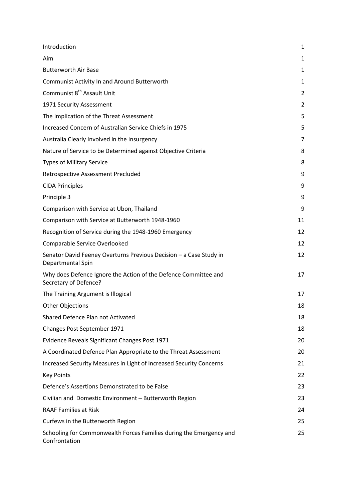| Introduction                                                                             | $\mathbf{1}$   |
|------------------------------------------------------------------------------------------|----------------|
| Aim                                                                                      | $\mathbf{1}$   |
| <b>Butterworth Air Base</b>                                                              | $\mathbf{1}$   |
| Communist Activity In and Around Butterworth                                             | 1              |
| Communist 8 <sup>th</sup> Assault Unit                                                   | $\overline{2}$ |
| 1971 Security Assessment                                                                 | $\overline{2}$ |
| The Implication of the Threat Assessment                                                 | 5              |
| Increased Concern of Australian Service Chiefs in 1975                                   | 5              |
| Australia Clearly Involved in the Insurgency                                             | 7              |
| Nature of Service to be Determined against Objective Criteria                            | 8              |
| <b>Types of Military Service</b>                                                         | 8              |
| <b>Retrospective Assessment Precluded</b>                                                | 9              |
| <b>CIDA Principles</b>                                                                   | 9              |
| Principle 3                                                                              | 9              |
| Comparison with Service at Ubon, Thailand                                                | 9              |
| Comparison with Service at Butterworth 1948-1960                                         | 11             |
| Recognition of Service during the 1948-1960 Emergency                                    | 12             |
| Comparable Service Overlooked                                                            | 12             |
| Senator David Feeney Overturns Previous Decision - a Case Study in<br>Departmental Spin  | 12             |
| Why does Defence Ignore the Action of the Defence Committee and<br>Secretary of Defence? | 17             |
| The Training Argument is Illogical                                                       | 17             |
| <b>Other Objections</b>                                                                  | 18             |
| Shared Defence Plan not Activated                                                        | 18             |
| Changes Post September 1971                                                              | 18             |
| Evidence Reveals Significant Changes Post 1971                                           | 20             |
| A Coordinated Defence Plan Appropriate to the Threat Assessment                          | 20             |
| Increased Security Measures in Light of Increased Security Concerns                      | 21             |
| <b>Key Points</b>                                                                        | 22             |
| Defence's Assertions Demonstrated to be False                                            | 23             |
| Civilian and Domestic Environment - Butterworth Region                                   | 23             |
| <b>RAAF Families at Risk</b>                                                             | 24             |
| Curfews in the Butterworth Region                                                        | 25             |
| Schooling for Commonwealth Forces Families during the Emergency and<br>Confrontation     | 25             |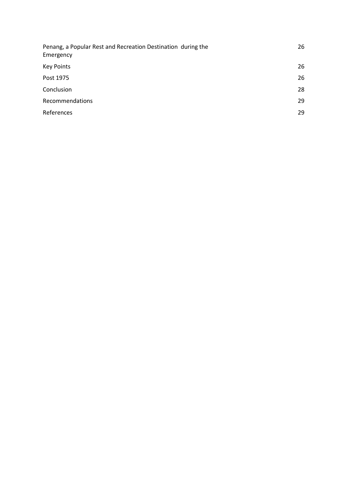| Penang, a Popular Rest and Recreation Destination during the<br>Emergency | 26 |
|---------------------------------------------------------------------------|----|
| <b>Key Points</b>                                                         | 26 |
| Post 1975                                                                 | 26 |
| Conclusion                                                                | 28 |
| Recommendations                                                           | 29 |
| References                                                                | 29 |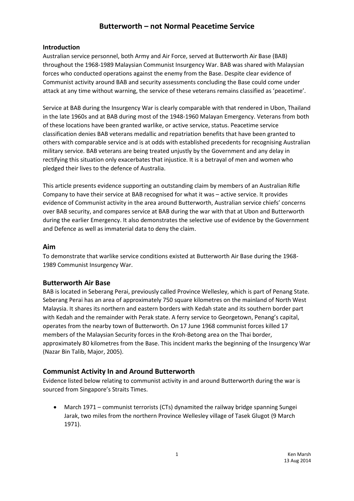### **Introduction**

Australian service personnel, both Army and Air Force, served at Butterworth Air Base (BAB) throughout the 1968-1989 Malaysian Communist Insurgency War. BAB was shared with Malaysian forces who conducted operations against the enemy from the Base. Despite clear evidence of Communist activity around BAB and security assessments concluding the Base could come under attack at any time without warning, the service of these veterans remains classified as 'peacetime'.

Service at BAB during the Insurgency War is clearly comparable with that rendered in Ubon, Thailand in the late 1960s and at BAB during most of the 1948-1960 Malayan Emergency. Veterans from both of these locations have been granted warlike, or active service, status. Peacetime service classification denies BAB veterans medallic and repatriation benefits that have been granted to others with comparable service and is at odds with established precedents for recognising Australian military service. BAB veterans are being treated unjustly by the Government and any delay in rectifying this situation only exacerbates that injustice. It is a betrayal of men and women who pledged their lives to the defence of Australia.

This article presents evidence supporting an outstanding claim by members of an Australian Rifle Company to have their service at BAB recognised for what it was – active service. It provides evidence of Communist activity in the area around Butterworth, Australian service chiefs' concerns over BAB security, and compares service at BAB during the war with that at Ubon and Butterworth during the earlier Emergency. It also demonstrates the selective use of evidence by the Government and Defence as well as immaterial data to deny the claim.

#### **Aim**

To demonstrate that warlike service conditions existed at Butterworth Air Base during the 1968- 1989 Communist Insurgency War.

### **Butterworth Air Base**

BAB is located in Seberang Perai, previously called Province Wellesley, which is part of Penang State. Seberang Perai has an area of approximately 750 square kilometres on the mainland of North West Malaysia. It shares its northern and eastern borders with Kedah state and its southern border part with Kedah and the remainder with Perak state. A ferry service to Georgetown, Penang's capital, operates from the nearby town of Butterworth. On 17 June 1968 communist forces killed 17 members of the Malaysian Security forces in the Kroh-Betong area on the Thai border, approximately 80 kilometres from the Base. This incident marks the beginning of the Insurgency War (Nazar Bin Talib, Major, 2005).

### **Communist Activity In and Around Butterworth**

Evidence listed below relating to communist activity in and around Butterworth during the war is sourced from Singapore's Straits Times.

 March 1971 – communist terrorists (CTs) dynamited the railway bridge spanning Sungei Jarak, two miles from the northern Province Wellesley village of Tasek Glugot (9 March 1971).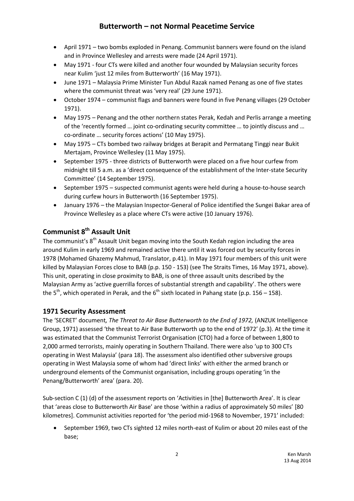- April 1971 two bombs exploded in Penang. Communist banners were found on the island and in Province Wellesley and arrests were made (24 April 1971).
- May 1971 four CTs were killed and another four wounded by Malaysian security forces near Kulim 'just 12 miles from Butterworth' (16 May 1971).
- June 1971 Malaysia Prime Minister Tun Abdul Razak named Penang as one of five states where the communist threat was 'very real' (29 June 1971).
- October 1974 communist flags and banners were found in five Penang villages (29 October 1971).
- May 1975 Penang and the other northern states Perak, Kedah and Perlis arrange a meeting of the 'recently formed … joint co-ordinating security committee … to jointly discuss and … co-ordinate … security forces actions' (10 May 1975).
- May 1975 CTs bombed two railway bridges at Berapit and Permatang Tinggi near Bukit Mertajam, Province Wellesley (11 May 1975).
- September 1975 three districts of Butterworth were placed on a five hour curfew from midnight till 5 a.m. as a 'direct consequence of the establishment of the Inter-state Security Committee' (14 September 1975).
- September 1975 suspected communist agents were held during a house-to-house search during curfew hours in Butterworth (16 September 1975).
- January 1976 the Malaysian Inspector-General of Police identified the Sungei Bakar area of Province Wellesley as a place where CTs were active (10 January 1976).

## **Communist 8th Assault Unit**

The communist's  $8<sup>th</sup>$  Assault Unit began moving into the South Kedah region including the area around Kulim in early 1969 and remained active there until it was forced out by security forces in 1978 (Mohamed Ghazemy Mahmud, Translator, p.41). In May 1971 four members of this unit were killed by Malaysian Forces close to BAB (p.p. 150 - 153) (see The Straits Times, 16 May 1971, above). This unit, operating in close proximity to BAB, is one of three assault units described by the Malaysian Army as 'active guerrilla forces of substantial strength and capability'. The others were the 5<sup>th</sup>, which operated in Perak, and the 6<sup>th</sup> sixth located in Pahang state (p.p. 156 – 158).

### **1971 Security Assessment**

The 'SECRET' document*, The Threat to Air Base Butterworth to the End of 1972,* (ANZUK Intelligence Group, 1971) assessed 'the threat to Air Base Butterworth up to the end of 1972' (p.3). At the time it was estimated that the Communist Terrorist Organisation (CTO) had a force of between 1,800 to 2,000 armed terrorists, mainly operating in Southern Thailand. There were also 'up to 300 CTs operating in West Malaysia' (para 18). The assessment also identified other subversive groups operating in West Malaysia some of whom had 'direct links' with either the armed branch or underground elements of the Communist organisation, including groups operating 'in the Penang/Butterworth' area' (para. 20).

Sub-section C (1) (d) of the assessment reports on 'Activities in [the] Butterworth Area'. It is clear that 'areas close to Butterworth Air Base' are those 'within a radius of approximately 50 miles' [80 kilometres]. Communist activities reported for 'the period mid-1968 to November, 1971' included:

 September 1969, two CTs sighted 12 miles north-east of Kulim or about 20 miles east of the base;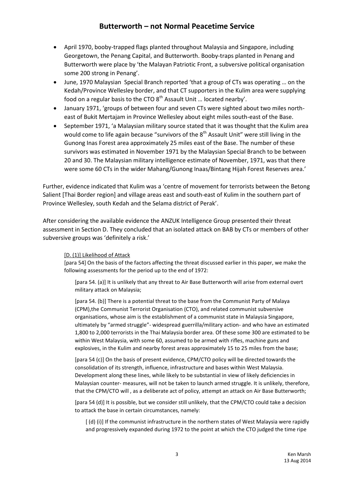- April 1970, booby-trapped flags planted throughout Malaysia and Singapore, including Georgetown, the Penang Capital, and Butterworth. Booby-traps planted in Penang and Butterworth were place by 'the Malayan Patriotic Front, a subversive political organisation some 200 strong in Penang'.
- June, 1970 Malaysian Special Branch reported 'that a group of CTs was operating … on the Kedah/Province Wellesley border, and that CT supporters in the Kulim area were supplying food on a regular basis to the CTO  $8<sup>th</sup>$  Assault Unit ... located nearby'.
- January 1971, 'groups of between four and seven CTs were sighted about two miles northeast of Bukit Mertajam in Province Wellesley about eight miles south-east of the Base.
- September 1971, 'a Malaysian military source stated that it was thought that the Kulim area would come to life again because "survivors of the  $8<sup>th</sup>$  Assault Unit" were still living in the Gunong Inas Forest area approximately 25 miles east of the Base. The number of these survivors was estimated in November 1971 by the Malaysian Special Branch to be between 20 and 30. The Malaysian military intelligence estimate of November, 1971, was that there were some 60 CTs in the wider Mahang/Gunong Inaas/Bintang Hijah Forest Reserves area.'

Further, evidence indicated that Kulim was a 'centre of movement for terrorists between the Betong Salient [Thai Border region] and village areas east and south-east of Kulim in the southern part of Province Wellesley, south Kedah and the Selama district of Perak'.

After considering the available evidence the ANZUK Intelligence Group presented their threat assessment in Section D. They concluded that an isolated attack on BAB by CTs or members of other subversive groups was 'definitely a risk.'

#### [D. (1)] Likelihood of Attack

[para 54] On the basis of the factors affecting the threat discussed earlier in this paper, we make the following assessments for the period up to the end of 1972:

[para 54. (a)] It is unlikely that any threat to Air Base Butterworth will arise from external overt military attack on Malaysia;

[para 54. (b)] There is a potential threat to the base from the Communist Party of Malaya (CPM),the Communist Terrorist Organisation (CTO), and related communist subversive organisations, whose aim is the establishment of a communist state in Malaysia Singapore, ultimately by "armed struggle"- widespread guerrilla/military action- and who have an estimated 1,800 to 2,000 terrorists in the Thai Malaysia border area. Of these some 300 are estimated to be within West Malaysia, with some 60, assumed to be armed with rifles, machine guns and explosives, in the Kulim and nearby forest areas approximately 15 to 25 miles from the base;

[para 54 (c)] On the basis of present evidence, CPM/CTO policy will be directed towards the consolidation of its strength, influence, infrastructure and bases within West Malaysia. Development along these lines, while likely to be substantial in view of likely deficiencies in Malaysian counter- measures, will not be taken to launch armed struggle. It is unlikely, therefore, that the CPM/CTO will , as a deliberate act of policy, attempt an attack on Air Base Butterworth;

[para 54 (d)] It is possible, but we consider still unlikely, that the CPM/CTO could take a decision to attack the base in certain circumstances, namely:

[ (d) (i)] If the communist infrastructure in the northern states of West Malaysia were rapidly and progressively expanded during 1972 to the point at which the CTO judged the time ripe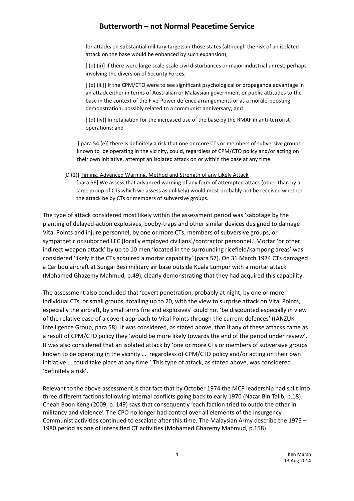for attacks on substantial military targets in those states (although the risk of an isolated attack on the base would be enhanced by such expansion);

[ (d) (ii)] If there were large scale-scale civil disturbances or major industrial unrest, perhaps involving the diversion of Security Forces;

[ (d) (iii)] If the CPM/CTO were to see significant psychological or propaganda advantage in an attack either in terms of Australian or Malaysian government or public attitudes to the base in the context of the Five-Power defence arrangements or as a morale-boosting demonstration, possibly related to a communist anniversary; and

[ (d) (iv)] In retaliation for the increased use of the base by the RMAF in anti-terrorist operations; and

 [ para 54 (e)] there is definitely a risk that one or more CTs or members of subversive groups known to be operating in the vicinity, could, regardless of CPM/CTO policy and/or acting on their own initiative, attempt an isolated attack on or within the base at any time.

[D (2)] Timing, Advanced Warning, Method and Strength of any Likely Attack [para 56] We assess that advanced warning of any form of attempted attack (other than by a large group of CTs which we assess as unlikely) would most probably not be received whether the attack be by CTs or members of subversive groups.

The type of attack considered most likely within the assessment period was 'sabotage by the planting of delayed-action explosives, booby-traps and other similar devices designed to damage Vital Points and injure personnel, by one or more CTs, members of subversive groups, or sympathetic or suborned LEC [locally employed civilians]/contractor personnel.' Mortar 'or other indirect weapon attack' by up to 10 men 'located in the surrounding ricefield/kampong areas' was considered 'likely if the CTs acquired a mortar capability' (para 57). On 31 March 1974 CTs damaged a Caribou aircraft at Sungai Besi military air base outside Kuala Lumpur with a mortar attack (Mohamed Ghazemy Mahmud, p.49), clearly demonstrating that they had acquired this capability.

The assessment also concluded that 'covert penetration, probably at night, by one or more individual CTs, or small groups, totalling up to 20, with the view to surprise attack on Vital Points, especially the aircraft, by small arms fire and explosives' could not 'be discounted especially in view of the relative ease of a covert approach to Vital Points through the current defences' ((ANZUK Intelligence Group, para 58). It was considered, as stated above, that if any of these attacks came as a result of CPM/CTO policy they 'would be more likely towards the end of the period under review'. It was also considered that an isolated attack by 'one or more CTs or members of subversive groups known to be operating in the vicinity … regardless of CPM/CTO policy and/or acting on their own initiative … could take place at any time.' This type of attack, as stated above, was considered 'definitely a risk'.

Relevant to the above assessment is that fact that by October 1974 the MCP leadership had split into three different factions following internal conflicts going back to early 1970 (Nazar Bin Talib, p.18). Cheah Boon Keng (2009, p. 149) says that consequently 'each faction tried to outdo the other in militancy and violence'. The CPO no longer had control over all elements of the insurgency. Communist activities continued to escalate after this time. The Malaysian Army describe the 1975 – 1980 period as one of intensified CT activities (Mohamed Ghazemy Mahmud, p.158).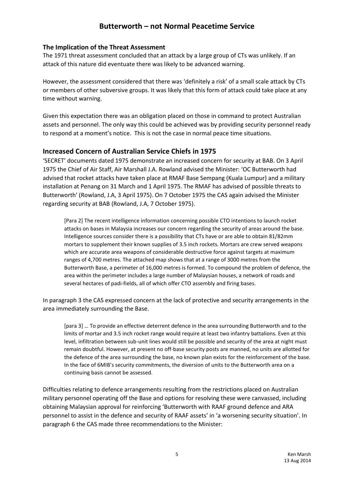#### **The Implication of the Threat Assessment**

The 1971 threat assessment concluded that an attack by a large group of CTs was unlikely. If an attack of this nature did eventuate there was likely to be advanced warning.

However, the assessment considered that there was 'definitely a risk' of a small scale attack by CTs or members of other subversive groups. It was likely that this form of attack could take place at any time without warning.

Given this expectation there was an obligation placed on those in command to protect Australian assets and personnel. The only way this could be achieved was by providing security personnel ready to respond at a moment's notice. This is not the case in normal peace time situations.

### **Increased Concern of Australian Service Chiefs in 1975**

'SECRET' documents dated 1975 demonstrate an increased concern for security at BAB. On 3 April 1975 the Chief of Air Staff, Air Marshall J.A. Rowland advised the Minister: 'OC Butterworth had advised that rocket attacks have taken place at RMAF Base Sempang (Kuala Lumpur) and a military installation at Penang on 31 March and 1 April 1975. The RMAF has advised of possible threats to Butterworth' (Rowland, J.A, 3 April 1975). On 7 October 1975 the CAS again advised the Minister regarding security at BAB (Rowland, J.A, 7 October 1975).

[Para 2] The recent intelligence information concerning possible CTO intentions to launch rocket attacks on bases in Malaysia increases our concern regarding the security of areas around the base. Intelligence sources consider there is a possibility that CTs have or are able to obtain 81/82mm mortars to supplement their known supplies of 3.5 inch rockets. Mortars are crew served weapons which are accurate area weapons of considerable destructive force against targets at maximum ranges of 4,700 metres. The attached map shows that at a range of 3000 metres from the Butterworth Base, a perimeter of 16,000 metres is formed. To compound the problem of defence, the area within the perimeter includes a large number of Malaysian houses, a network of roads and several hectares of padi-fields, all of which offer CTO assembly and firing bases.

In paragraph 3 the CAS expressed concern at the lack of protective and security arrangements in the area immediately surrounding the Base.

[para 3] … To provide an effective deterrent defence in the area surrounding Butterworth and to the limits of mortar and 3.5 inch rocket range would require at least two infantry battalions. Even at this level, infiltration between sub-unit lines would still be possible and security of the area at night must remain doubtful. However, at present no off-base security posts are manned, no units are allotted for the defence of the area surrounding the base, no known plan exists for the reinforcement of the base. In the face of 6MIB's security commitments, the diversion of units to the Butterworth area on a continuing basis cannot be assessed.

Difficulties relating to defence arrangements resulting from the restrictions placed on Australian military personnel operating off the Base and options for resolving these were canvassed, including obtaining Malaysian approval for reinforcing 'Butterworth with RAAF ground defence and ARA personnel to assist in the defence and security of RAAF assets' in 'a worsening security situation'. In paragraph 6 the CAS made three recommendations to the Minister: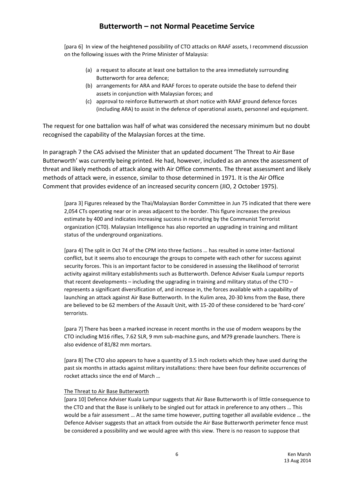[para 6] In view of the heightened possibility of CTO attacks on RAAF assets, I recommend discussion on the following issues with the Prime Minister of Malaysia:

- (a) a request to allocate at least one battalion to the area immediately surrounding Butterworth for area defence;
- (b) arrangements for ARA and RAAF forces to operate outside the base to defend their assets in conjunction with Malaysian forces; and
- (c) approval to reinforce Butterworth at short notice with RAAF ground defence forces (including ARA) to assist in the defence of operational assets, personnel and equipment.

The request for one battalion was half of what was considered the necessary minimum but no doubt recognised the capability of the Malaysian forces at the time.

In paragraph 7 the CAS advised the Minister that an updated document 'The Threat to Air Base Butterworth' was currently being printed. He had, however, included as an annex the assessment of threat and likely methods of attack along with Air Office comments. The threat assessment and likely methods of attack were, in essence, similar to those determined in 1971. It is the Air Office Comment that provides evidence of an increased security concern (JIO, 2 October 1975).

[para 3] Figures released by the Thai/Malaysian Border Committee in Jun 75 indicated that there were 2,054 CTs operating near or in areas adjacent to the border. This figure increases the previous estimate by 400 and indicates increasing success in recruiting by the Communist Terrorist organization (CT0). Malaysian Intelligence has also reported an upgrading in training and militant status of the underground organizations.

[para 4] The split in Oct 74 of the CPM into three factions … has resulted in some inter-factional conflict, but it seems also to encourage the groups to compete with each other for success against security forces. This is an important factor to be considered in assessing the likelihood of terrorist activity against military establishments such as Butterworth. Defence Adviser Kuala Lumpur reports that recent developments – including the upgrading in training and military status of the CTO – represents a significant diversification of, and increase in, the forces available with a capability of launching an attack against Air Base Butterworth. In the Kulim area, 20-30 kms from the Base, there are believed to be 62 members of the Assault Unit, with 15-20 of these considered to be 'hard-core' terrorists.

[para 7] There has been a marked increase in recent months in the use of modern weapons by the CTO including M16 rifles, 7.62 SLR, 9 mm sub-machine guns, and M79 grenade launchers. There is also evidence of 81/82 mm mortars.

[para 8] The CTO also appears to have a quantity of 3.5 inch rockets which they have used during the past six months in attacks against military installations: there have been four definite occurrences of rocket attacks since the end of March …

#### The Threat to Air Base Butterworth

[para 10] Defence Adviser Kuala Lumpur suggests that Air Base Butterworth is of little consequence to the CTO and that the Base is unlikely to be singled out for attack in preference to any others … This would be a fair assessment … At the same time however, putting together all available evidence … the Defence Adviser suggests that an attack from outside the Air Base Butterworth perimeter fence must be considered a possibility and we would agree with this view. There is no reason to suppose that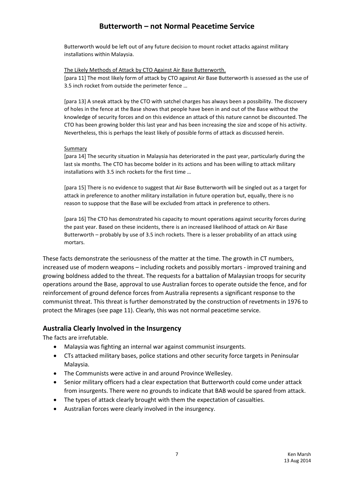Butterworth would be left out of any future decision to mount rocket attacks against military installations within Malaysia.

The Likely Methods of Attack by CTO Against Air Base Butterworth.

[para 11] The most likely form of attack by CTO against Air Base Butterworth is assessed as the use of 3.5 inch rocket from outside the perimeter fence …

[para 13] A sneak attack by the CTO with satchel charges has always been a possibility. The discovery of holes in the fence at the Base shows that people have been in and out of the Base without the knowledge of security forces and on this evidence an attack of this nature cannot be discounted. The CTO has been growing bolder this last year and has been increasing the size and scope of his activity. Nevertheless, this is perhaps the least likely of possible forms of attack as discussed herein.

#### Summary

[para 14] The security situation in Malaysia has deteriorated in the past year, particularly during the last six months. The CTO has become bolder in its actions and has been willing to attack military installations with 3.5 inch rockets for the first time …

[para 15] There is no evidence to suggest that Air Base Butterworth will be singled out as a target for attack in preference to another military installation in future operation but, equally, there is no reason to suppose that the Base will be excluded from attack in preference to others.

[para 16] The CTO has demonstrated his capacity to mount operations against security forces during the past year. Based on these incidents, there is an increased likelihood of attack on Air Base Butterworth – probably by use of 3.5 inch rockets. There is a lesser probability of an attack using mortars.

These facts demonstrate the seriousness of the matter at the time. The growth in CT numbers, increased use of modern weapons – including rockets and possibly mortars - improved training and growing boldness added to the threat. The requests for a battalion of Malaysian troops for security operations around the Base, approval to use Australian forces to operate outside the fence, and for reinforcement of ground defence forces from Australia represents a significant response to the communist threat. This threat is further demonstrated by the construction of revetments in 1976 to protect the Mirages (see page 11). Clearly, this was not normal peacetime service.

### **Australia Clearly Involved in the Insurgency**

The facts are irrefutable.

- Malaysia was fighting an internal war against communist insurgents.
- CTs attacked military bases, police stations and other security force targets in Peninsular Malaysia.
- The Communists were active in and around Province Wellesley.
- Senior military officers had a clear expectation that Butterworth could come under attack from insurgents. There were no grounds to indicate that BAB would be spared from attack.
- The types of attack clearly brought with them the expectation of casualties.
- Australian forces were clearly involved in the insurgency.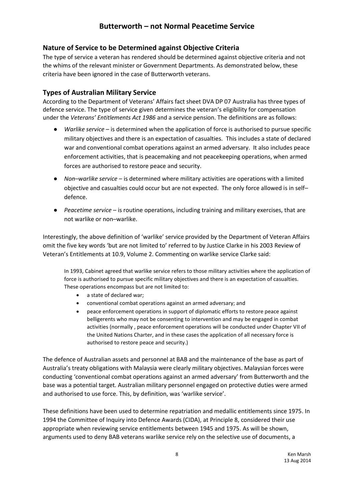### **Nature of Service to be Determined against Objective Criteria**

The type of service a veteran has rendered should be determined against objective criteria and not the whims of the relevant minister or Government Departments. As demonstrated below, these criteria have been ignored in the case of Butterworth veterans.

### **Types of Australian Military Service**

According to the Department of Veterans' Affairs fact sheet DVA DP 07 Australia has three types of defence service. The type of service given determines the veteran's eligibility for compensation under the *Veterans' Entitlements Act 1986* and a service pension. The definitions are as follows:

- *Warlike service* is determined when the application of force is authorised to pursue specific military objectives and there is an expectation of casualties. This includes a state of declared war and conventional combat operations against an armed adversary. It also includes peace enforcement activities, that is peacemaking and not peacekeeping operations, when armed forces are authorised to restore peace and security.
- *Non–warlike service* is determined where military activities are operations with a limited objective and casualties could occur but are not expected. The only force allowed is in self– defence.
- *Peacetime service* is routine operations, including training and military exercises, that are not warlike or non–warlike.

Interestingly, the above definition of 'warlike' service provided by the Department of Veteran Affairs omit the five key words 'but are not limited to' referred to by Justice Clarke in his 2003 Review of Veteran's Entitlements at 10.9, Volume 2. Commenting on warlike service Clarke said:

In 1993, Cabinet agreed that warlike service refers to those military activities where the application of force is authorised to pursue specific military objectives and there is an expectation of casualties. These operations encompass but are not limited to:

- a state of declared war;
- conventional combat operations against an armed adversary; and
- peace enforcement operations in support of diplomatic efforts to restore peace against belligerents who may not be consenting to intervention and may be engaged in combat activities (normally , peace enforcement operations will be conducted under Chapter VII of the United Nations Charter, and in these cases the application of all necessary force is authorised to restore peace and security.)

The defence of Australian assets and personnel at BAB and the maintenance of the base as part of Australia's treaty obligations with Malaysia were clearly military objectives. Malaysian forces were conducting 'conventional combat operations against an armed adversary' from Butterworth and the base was a potential target. Australian military personnel engaged on protective duties were armed and authorised to use force. This, by definition, was 'warlike service'.

These definitions have been used to determine repatriation and medallic entitlements since 1975. In 1994 the Committee of Inquiry into Defence Awards (CIDA), at Principle 8, considered their use appropriate when reviewing service entitlements between 1945 and 1975. As will be shown, arguments used to deny BAB veterans warlike service rely on the selective use of documents, a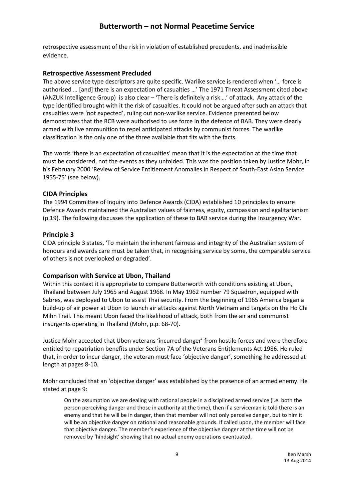retrospective assessment of the risk in violation of established precedents, and inadmissible evidence.

#### **Retrospective Assessment Precluded**

The above service type descriptors are quite specific. Warlike service is rendered when '… force is authorised … [and] there is an expectation of casualties …' The 1971 Threat Assessment cited above (ANZUK Intelligence Group) is also clear – 'There is definitely a risk …' of attack. Any attack of the type identified brought with it the risk of casualties. It could not be argued after such an attack that casualties were 'not expected', ruling out non-warlike service. Evidence presented below demonstrates that the RCB were authorised to use force in the defence of BAB. They were clearly armed with live ammunition to repel anticipated attacks by communist forces. The warlike classification is the only one of the three available that fits with the facts.

The words 'there is an expectation of casualties' mean that it is the expectation at the time that must be considered, not the events as they unfolded. This was the position taken by Justice Mohr, in his February 2000 'Review of Service Entitlement Anomalies in Respect of South-East Asian Service 1955-75' (see below).

### **CIDA Principles**

The 1994 Committee of Inquiry into Defence Awards (CIDA) established 10 principles to ensure Defence Awards maintained the Australian values of fairness, equity, compassion and egalitarianism (p.19). The following discusses the application of these to BAB service during the Insurgency War.

#### **Principle 3**

CIDA principle 3 states, 'To maintain the inherent fairness and integrity of the Australian system of honours and awards care must be taken that, in recognising service by some, the comparable service of others is not overlooked or degraded'.

### **Comparison with Service at Ubon, Thailand**

Within this context it is appropriate to compare Butterworth with conditions existing at Ubon, Thailand between July 1965 and August 1968. In May 1962 number 79 Squadron, equipped with Sabres, was deployed to Ubon to assist Thai security. From the beginning of 1965 America began a build-up of air power at Ubon to launch air attacks against North Vietnam and targets on the Ho Chi Mihn Trail. This meant Ubon faced the likelihood of attack, both from the air and communist insurgents operating in Thailand (Mohr, p.p. 68-70).

Justice Mohr accepted that Ubon veterans 'incurred danger' from hostile forces and were therefore entitled to repatriation benefits under Section 7A of the Veterans Entitlements Act 1986. He ruled that, in order to incur danger, the veteran must face 'objective danger', something he addressed at length at pages 8-10.

Mohr concluded that an 'objective danger' was established by the presence of an armed enemy. He stated at page 9:

On the assumption we are dealing with rational people in a disciplined armed service (i.e. both the person perceiving danger and those in authority at the time), then if a serviceman is told there is an enemy and that he will be in danger, then that member will not only perceive danger, but to him it will be an objective danger on rational and reasonable grounds. If called upon, the member will face that objective danger. The member's experience of the objective danger at the time will not be removed by 'hindsight' showing that no actual enemy operations eventuated.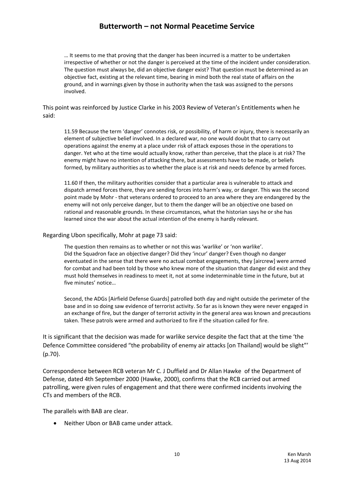… It seems to me that proving that the danger has been incurred is a matter to be undertaken irrespective of whether or not the danger is perceived at the time of the incident under consideration. The question must always be, did an objective danger exist? That question must be determined as an objective fact, existing at the relevant time, bearing in mind both the real state of affairs on the ground, and in warnings given by those in authority when the task was assigned to the persons involved.

#### This point was reinforced by Justice Clarke in his 2003 Review of Veteran's Entitlements when he said:

11.59 Because the term 'danger' connotes risk, or possibility, of harm or injury, there is necessarily an element of subjective belief involved. In a declared war, no one would doubt that to carry out operations against the enemy at a place under risk of attack exposes those in the operations to danger. Yet who at the time would actually know, rather than perceive, that the place is at risk? The enemy might have no intention of attacking there, but assessments have to be made, or beliefs formed, by military authorities as to whether the place is at risk and needs defence by armed forces.

11.60 If then, the military authorities consider that a particular area is vulnerable to attack and dispatch armed forces there, they are sending forces into harm's way, or danger. This was the second point made by Mohr - that veterans ordered to proceed to an area where they are endangered by the enemy will not only perceive danger, but to them the danger will be an objective one based on rational and reasonable grounds. In these circumstances, what the historian says he or she has learned since the war about the actual intention of the enemy is hardly relevant.

#### Regarding Ubon specifically, Mohr at page 73 said:

The question then remains as to whether or not this was 'warlike' or 'non warlike'. Did the Squadron face an objective danger? Did they 'incur' danger? Even though no danger eventuated in the sense that there were no actual combat engagements, they [aircrew] were armed for combat and had been told by those who knew more of the situation that danger did exist and they must hold themselves in readiness to meet it, not at some indeterminable time in the future, but at five minutes' notice…

Second, the ADGs [Airfield Defense Guards] patrolled both day and night outside the perimeter of the base and in so doing saw evidence of terrorist activity. So far as is known they were never engaged in an exchange of fire, but the danger of terrorist activity in the general area was known and precautions taken. These patrols were armed and authorized to fire if the situation called for fire.

It is significant that the decision was made for warlike service despite the fact that at the time 'the Defence Committee considered "the probability of enemy air attacks [on Thailand] would be slight" (p.70).

Correspondence between RCB veteran Mr C. J Duffield and Dr Allan Hawke of the Department of Defense, dated 4th September 2000 (Hawke, 2000), confirms that the RCB carried out armed patrolling, were given rules of engagement and that there were confirmed incidents involving the CTs and members of the RCB.

The parallels with BAB are clear.

Neither Ubon or BAB came under attack.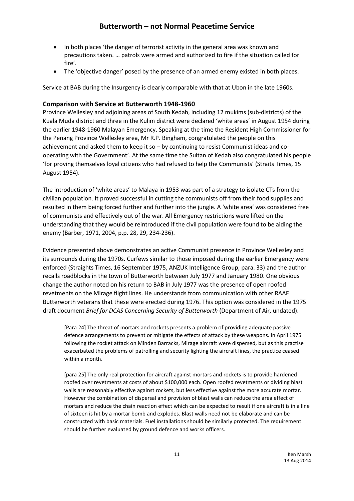- In both places 'the danger of terrorist activity in the general area was known and precautions taken. … patrols were armed and authorized to fire if the situation called for fire'.
- The 'objective danger' posed by the presence of an armed enemy existed in both places.

Service at BAB during the Insurgency is clearly comparable with that at Ubon in the late 1960s.

#### **Comparison with Service at Butterworth 1948-1960**

Province Wellesley and adjoining areas of South Kedah, including 12 mukims (sub-districts) of the Kuala Muda district and three in the Kulim district were declared 'white areas' in August 1954 during the earlier 1948-1960 Malayan Emergency. Speaking at the time the Resident High Commissioner for the Penang Province Wellesley area, Mr R.P. Bingham, congratulated the people on this achievement and asked them to keep it so – by continuing to resist Communist ideas and cooperating with the Government'. At the same time the Sultan of Kedah also congratulated his people 'for proving themselves loyal citizens who had refused to help the Communists' (Straits Times, 15 August 1954).

The introduction of 'white areas' to Malaya in 1953 was part of a strategy to isolate CTs from the civilian population. It proved successful in cutting the communists off from their food supplies and resulted in them being forced further and further into the jungle. A 'white area' was considered free of communists and effectively out of the war. All Emergency restrictions were lifted on the understanding that they would be reintroduced if the civil population were found to be aiding the enemy (Barber, 1971, 2004, p.p. 28, 29, 234-236).

Evidence presented above demonstrates an active Communist presence in Province Wellesley and its surrounds during the 1970s. Curfews similar to those imposed during the earlier Emergency were enforced (Straights Times, 16 September 1975, ANZUK Intelligence Group, para. 33) and the author recalls roadblocks in the town of Butterworth between July 1977 and January 1980. One obvious change the author noted on his return to BAB in July 1977 was the presence of open roofed revetments on the Mirage flight lines. He understands from communication with other RAAF Butterworth veterans that these were erected during 1976. This option was considered in the 1975 draft document *Brief for DCAS Concerning Security of Butterworth* (Department of Air, undated).

[Para 24] The threat of mortars and rockets presents a problem of providing adequate passive defence arrangements to prevent or mitigate the effects of attack by these weapons. In April 1975 following the rocket attack on Minden Barracks, Mirage aircraft were dispersed, but as this practise exacerbated the problems of patrolling and security lighting the aircraft lines, the practice ceased within a month.

[para 25] The only real protection for aircraft against mortars and rockets is to provide hardened roofed over revetments at costs of about \$100,000 each. Open roofed revetments or dividing blast walls are reasonably effective against rockets, but less effective against the more accurate mortar. However the combination of dispersal and provision of blast walls can reduce the area effect of mortars and reduce the chain reaction effect which can be expected to result if one aircraft is in a line of sixteen is hit by a mortar bomb and explodes. Blast walls need not be elaborate and can be constructed with basic materials. Fuel installations should be similarly protected. The requirement should be further evaluated by ground defence and works officers.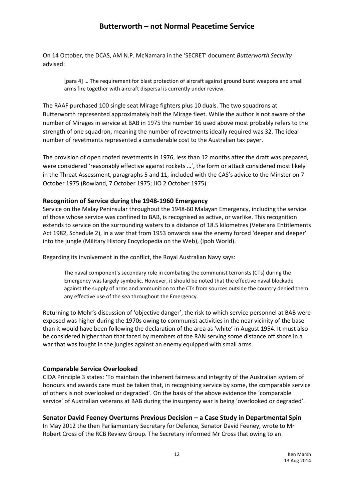On 14 October, the DCAS, AM N.P. McNamara in the 'SECRET' document *Butterworth Security* advised:

[para 4] … The requirement for blast protection of aircraft against ground burst weapons and small arms fire together with aircraft dispersal is currently under review.

The RAAF purchased 100 single seat Mirage fighters plus 10 duals. The two squadrons at Butterworth represented approximately half the Mirage fleet. While the author is not aware of the number of Mirages in service at BAB in 1975 the number 16 used above most probably refers to the strength of one squadron, meaning the number of revetments ideally required was 32. The ideal number of revetments represented a considerable cost to the Australian tax payer.

The provision of open roofed revetments in 1976, less than 12 months after the draft was prepared, were considered 'reasonably effective against rockets ...', the form or attack considered most likely in the Threat Assessment, paragraphs 5 and 11, included with the CAS's advice to the Minster on 7 October 1975 (Rowland, 7 October 1975; JIO 2 October 1975).

#### **Recognition of Service during the 1948-1960 Emergency**

Service on the Malay Peninsular throughout the 1948-60 Malayan Emergency, including the service of those whose service was confined to BAB, is recognised as active, or warlike. This recognition extends to service on the surrounding waters to a distance of 18.5 kilometres (Veterans Entitlements Act 1982, Schedule 2), in a war that from 1953 onwards saw the enemy forced 'deeper and deeper' into the jungle (Military History Encyclopedia on the Web), (Ipoh World).

Regarding its involvement in the conflict, the Royal Australian Navy says:

The naval component's secondary role in combating the communist terrorists (CTs) during the Emergency was largely symbolic. However, it should be noted that the effective naval blockade against the supply of arms and ammunition to the CTs from sources outside the country denied them any effective use of the sea throughout the Emergency.

Returning to Mohr's discussion of 'objective danger', the risk to which service personnel at BAB were exposed was higher during the 1970s owing to communist activities in the near vicinity of the base than it would have been following the declaration of the area as 'white' in August 1954. It must also be considered higher than that faced by members of the RAN serving some distance off shore in a war that was fought in the jungles against an enemy equipped with small arms.

### **Comparable Service Overlooked**

CIDA Principle 3 states: 'To maintain the inherent fairness and integrity of the Australian system of honours and awards care must be taken that, in recognising service by some, the comparable service of others is not overlooked or degraded'. On the basis of the above evidence the 'comparable service' of Australian veterans at BAB during the insurgency war is being 'overlooked or degraded'.

### **Senator David Feeney Overturns Previous Decision – a Case Study in Departmental Spin**

In May 2012 the then Parliamentary Secretary for Defence, Senator David Feeney, wrote to Mr Robert Cross of the RCB Review Group. The Secretary informed Mr Cross that owing to an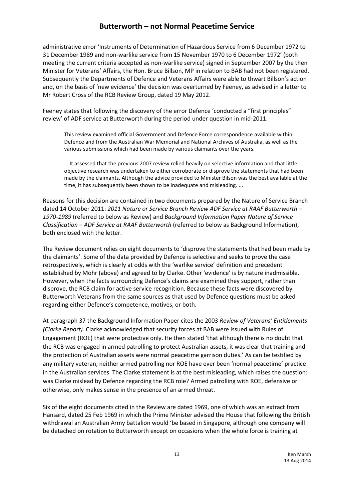administrative error 'Instruments of Determination of Hazardous Service from 6 December 1972 to 31 December 1989 and non-warlike service from 15 November 1970 to 6 December 1972' (both meeting the current criteria accepted as non-warlike service) signed in September 2007 by the then Minister for Veterans' Affairs, the Hon. Bruce Billson, MP in relation to BAB had not been registered. Subsequently the Departments of Defence and Veterans Affairs were able to thwart Billson's action and, on the basis of 'new evidence' the decision was overturned by Feeney, as advised in a letter to Mr Robert Cross of the RCB Review Group, dated 19 May 2012.

Feeney states that following the discovery of the error Defence 'conducted a "first principles" review' of ADF service at Butterworth during the period under question in mid-2011.

This review examined official Government and Defence Force correspondence available within Defence and from the Australian War Memorial and National Archives of Australia, as well as the various submissions which had been made by various claimants over the years.

… It assessed that the previous 2007 review relied heavily on selective information and that little objective research was undertaken to either corroborate or disprove the statements that had been made by the claimants. Although the advice provided to Minister Bilson was the best available at the time, it has subsequently been shown to be inadequate and misleading. ...

Reasons for this decision are contained in two documents prepared by the Nature of Service Branch dated 14 October 2011: *2011 Nature or Service Branch Review ADF Service at RAAF Butterworth – 1970-1989* (referred to below as Review) and *Background Information Paper Nature of Service Classification – ADF Service at RAAF Butterworth* (referred to below as Background Information), both enclosed with the letter.

The Review document relies on eight documents to 'disprove the statements that had been made by the claimants'. Some of the data provided by Defence is selective and seeks to prove the case retrospectively, which is clearly at odds with the 'warlike service' definition and precedent established by Mohr (above) and agreed to by Clarke. Other 'evidence' is by nature inadmissible. However, when the facts surrounding Defence's claims are examined they support, rather than disprove, the RCB claim for active service recognition. Because these facts were discovered by Butterworth Veterans from the same sources as that used by Defence questions must be asked regarding either Defence's competence, motives, or both.

At paragraph 37 the Background Information Paper cites the 2003 *Review of Veterans' Entitlements (Clarke Report)*. Clarke acknowledged that security forces at BAB were issued with Rules of Engagement (ROE) that were protective only. He then stated 'that although there is no doubt that the RCB was engaged in armed patrolling to protect Australian assets, it was clear that training and the protection of Australian assets were normal peacetime garrison duties.' As can be testified by any military veteran, neither armed patrolling nor ROE have ever been 'normal peacetime' practice in the Australian services. The Clarke statement is at the best misleading, which raises the question: was Clarke mislead by Defence regarding the RCB role? Armed patrolling with ROE, defensive or otherwise, only makes sense in the presence of an armed threat.

Six of the eight documents cited in the Review are dated 1969, one of which was an extract from Hansard, dated 25 Feb 1969 in which the Prime Minister advised the House that following the British withdrawal an Australian Army battalion would 'be based in Singapore, although one company will be detached on rotation to Butterworth except on occasions when the whole force is training at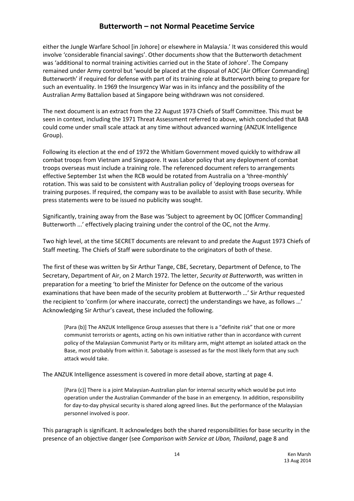either the Jungle Warfare School [in Johore] or elsewhere in Malaysia.' It was considered this would involve 'considerable financial savings'. Other documents show that the Butterworth detachment was 'additional to normal training activities carried out in the State of Johore'. The Company remained under Army control but 'would be placed at the disposal of AOC [Air Officer Commanding] Butterworth' if required for defense with part of its training role at Butterworth being to prepare for such an eventuality. In 1969 the Insurgency War was in its infancy and the possibility of the Australian Army Battalion based at Singapore being withdrawn was not considered.

The next document is an extract from the 22 August 1973 Chiefs of Staff Committee. This must be seen in context, including the 1971 Threat Assessment referred to above, which concluded that BAB could come under small scale attack at any time without advanced warning (ANZUK Intelligence Group).

Following its election at the end of 1972 the Whitlam Government moved quickly to withdraw all combat troops from Vietnam and Singapore. It was Labor policy that any deployment of combat troops overseas must include a training role. The referenced document refers to arrangements effective September 1st when the RCB would be rotated from Australia on a 'three-monthly' rotation. This was said to be consistent with Australian policy of 'deploying troops overseas for training purposes. If required, the company was to be available to assist with Base security. While press statements were to be issued no publicity was sought.

Significantly, training away from the Base was 'Subject to agreement by OC [Officer Commanding] Butterworth ...' effectively placing training under the control of the OC, not the Army.

Two high level, at the time SECRET documents are relevant to and predate the August 1973 Chiefs of Staff meeting. The Chiefs of Staff were subordinate to the originators of both of these.

The first of these was written by Sir Arthur Tange, CBE, Secretary, Department of Defence, to The Secretary, Department of Air, on 2 March 1972. The letter, *Security at Butterworth*, was written in preparation for a meeting 'to brief the Minister for Defence on the outcome of the various examinations that have been made of the security problem at Butterworth …' Sir Arthur requested the recipient to 'confirm (or where inaccurate, correct) the understandings we have, as follows …' Acknowledging Sir Arthur's caveat, these included the following.

[Para (b)] The ANZUK Intelligence Group assesses that there is a "definite risk" that one or more communist terrorists or agents, acting on his own initiative rather than in accordance with current policy of the Malaysian Communist Party or its military arm, might attempt an isolated attack on the Base, most probably from within it. Sabotage is assessed as far the most likely form that any such attack would take.

The ANZUK Intelligence assessment is covered in more detail above, starting at page 4.

[Para (c)] There is a joint Malaysian-Australian plan for internal security which would be put into operation under the Australian Commander of the base in an emergency. In addition, responsibility for day-to-day physical security is shared along agreed lines. But the performance of the Malaysian personnel involved is poor.

This paragraph is significant. It acknowledges both the shared responsibilities for base security in the presence of an objective danger (see *Comparison with Service at Ubon, Thailand*, page 8 and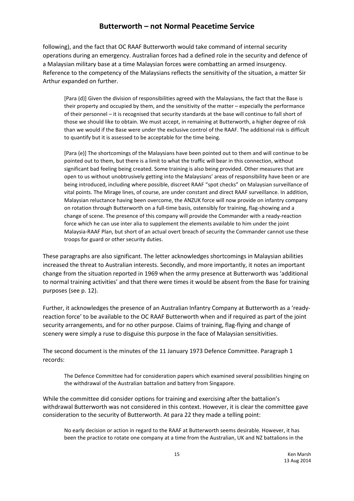following), and the fact that OC RAAF Butterworth would take command of internal security operations during an emergency. Australian forces had a defined role in the security and defence of a Malaysian military base at a time Malaysian forces were combatting an armed insurgency. Reference to the competency of the Malaysians reflects the sensitivity of the situation, a matter Sir Arthur expanded on further.

[Para (d)] Given the division of responsibilities agreed with the Malaysians, the fact that the Base is their property and occupied by them, and the sensitivity of the matter – especially the performance of their personnel – it is recognised that security standards at the base will continue to fall short of those we should like to obtain. We must accept, in remaining at Butterworth, a higher degree of risk than we would if the Base were under the exclusive control of the RAAF. The additional risk is difficult to quantify but it is assessed to be acceptable for the time being.

[Para (e)] The shortcomings of the Malaysians have been pointed out to them and will continue to be pointed out to them, but there is a limit to what the traffic will bear in this connection, without significant bad feeling being created. Some training is also being provided. Other measures that are open to us without unobtrusively getting into the Malaysians' areas of responsibility have been or are being introduced, including where possible, discreet RAAF "spot checks" on Malaysian surveillance of vital points. The Mirage lines, of course, are under constant and direct RAAF surveillance. In addition, Malaysian reluctance having been overcome, the ANZUK force will now provide on infantry company on rotation through Butterworth on a full-time basis, ostensibly for training, flag-showing and a change of scene. The presence of this company will provide the Commander with a ready-reaction force which he can use inter alia to supplement the elements available to him under the joint Malaysia-RAAF Plan, but short of an actual overt breach of security the Commander cannot use these troops for guard or other security duties.

These paragraphs are also significant. The letter acknowledges shortcomings in Malaysian abilities increased the threat to Australian interests. Secondly, and more importantly, it notes an important change from the situation reported in 1969 when the army presence at Butterworth was 'additional to normal training activities' and that there were times it would be absent from the Base for training purposes (see p. 12).

Further, it acknowledges the presence of an Australian Infantry Company at Butterworth as a 'readyreaction force' to be available to the OC RAAF Butterworth when and if required as part of the joint security arrangements, and for no other purpose. Claims of training, flag-flying and change of scenery were simply a ruse to disguise this purpose in the face of Malaysian sensitivities.

The second document is the minutes of the 11 January 1973 Defence Committee. Paragraph 1 records:

The Defence Committee had for consideration papers which examined several possibilities hinging on the withdrawal of the Australian battalion and battery from Singapore.

While the committee did consider options for training and exercising after the battalion's withdrawal Butterworth was not considered in this context. However, it is clear the committee gave consideration to the security of Butterworth. At para 22 they made a telling point:

No early decision or action in regard to the RAAF at Butterworth seems desirable. However, it has been the practice to rotate one company at a time from the Australian, UK and NZ battalions in the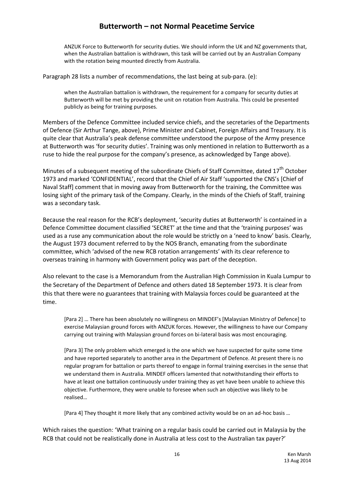ANZUK Force to Butterworth for security duties. We should inform the UK and NZ governments that, when the Australian battalion is withdrawn, this task will be carried out by an Australian Company with the rotation being mounted directly from Australia.

Paragraph 28 lists a number of recommendations, the last being at sub-para. (e):

when the Australian battalion is withdrawn, the requirement for a company for security duties at Butterworth will be met by providing the unit on rotation from Australia. This could be presented publicly as being for training purposes.

Members of the Defence Committee included service chiefs, and the secretaries of the Departments of Defence (Sir Arthur Tange, above), Prime Minister and Cabinet, Foreign Affairs and Treasury. It is quite clear that Australia's peak defense committee understood the purpose of the Army presence at Butterworth was 'for security duties'. Training was only mentioned in relation to Butterworth as a ruse to hide the real purpose for the company's presence, as acknowledged by Tange above).

Minutes of a subsequent meeting of the subordinate Chiefs of Staff Committee, dated 17<sup>th</sup> October 1973 and marked 'CONFIDENTIAL', record that the Chief of Air Staff 'supported the CNS's [Chief of Naval Staff] comment that in moving away from Butterworth for the training, the Committee was losing sight of the primary task of the Company. Clearly, in the minds of the Chiefs of Staff, training was a secondary task.

Because the real reason for the RCB's deployment, 'security duties at Butterworth' is contained in a Defence Committee document classified 'SECRET' at the time and that the 'training purposes' was used as a ruse any communication about the role would be strictly on a 'need to know' basis. Clearly, the August 1973 document referred to by the NOS Branch, emanating from the subordinate committee, which 'advised of the new RCB rotation arrangements' with its clear reference to overseas training in harmony with Government policy was part of the deception.

Also relevant to the case is a Memorandum from the Australian High Commission in Kuala Lumpur to the Secretary of the Department of Defence and others dated 18 September 1973. It is clear from this that there were no guarantees that training with Malaysia forces could be guaranteed at the time.

[Para 2] … There has been absolutely no willingness on MINDEF's [Malaysian Ministry of Defence] to exercise Malaysian ground forces with ANZUK forces. However, the willingness to have our Company carrying out training with Malaysian ground forces on bi-lateral basis was most encouraging.

[Para 3] The only problem which emerged is the one which we have suspected for quite some time and have reported separately to another area in the Department of Defence. At present there is no regular program for battalion or parts thereof to engage in formal training exercises in the sense that we understand them in Australia. MINDEF officers lamented that notwithstanding their efforts to have at least one battalion continuously under training they as yet have been unable to achieve this objective. Furthermore, they were unable to foresee when such an objective was likely to be realised…

[Para 4] They thought it more likely that any combined activity would be on an ad-hoc basis …

Which raises the question: 'What training on a regular basis could be carried out in Malaysia by the RCB that could not be realistically done in Australia at less cost to the Australian tax payer?'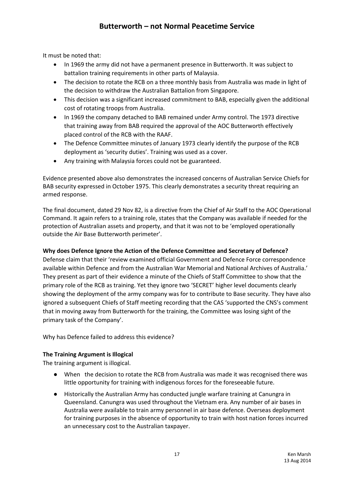It must be noted that:

- In 1969 the army did not have a permanent presence in Butterworth. It was subject to battalion training requirements in other parts of Malaysia.
- The decision to rotate the RCB on a three monthly basis from Australia was made in light of the decision to withdraw the Australian Battalion from Singapore.
- This decision was a significant increased commitment to BAB, especially given the additional cost of rotating troops from Australia.
- In 1969 the company detached to BAB remained under Army control. The 1973 directive that training away from BAB required the approval of the AOC Butterworth effectively placed control of the RCB with the RAAF.
- The Defence Committee minutes of January 1973 clearly identify the purpose of the RCB deployment as 'security duties'. Training was used as a cover.
- Any training with Malaysia forces could not be guaranteed.

Evidence presented above also demonstrates the increased concerns of Australian Service Chiefs for BAB security expressed in October 1975. This clearly demonstrates a security threat requiring an armed response.

The final document, dated 29 Nov 82, is a directive from the Chief of Air Staff to the AOC Operational Command. It again refers to a training role, states that the Company was available if needed for the protection of Australian assets and property, and that it was not to be 'employed operationally outside the Air Base Butterworth perimeter'.

#### **Why does Defence Ignore the Action of the Defence Committee and Secretary of Defence?**

Defense claim that their 'review examined official Government and Defence Force correspondence available within Defence and from the Australian War Memorial and National Archives of Australia.' They present as part of their evidence a minute of the Chiefs of Staff Committee to show that the primary role of the RCB as training. Yet they ignore two 'SECRET' higher level documents clearly showing the deployment of the army company was for to contribute to Base security. They have also ignored a subsequent Chiefs of Staff meeting recording that the CAS 'supported the CNS's comment that in moving away from Butterworth for the training, the Committee was losing sight of the primary task of the Company'.

Why has Defence failed to address this evidence?

#### **The Training Argument is Illogical**

The training argument is illogical.

- When the decision to rotate the RCB from Australia was made it was recognised there was little opportunity for training with indigenous forces for the foreseeable future.
- Historically the Australian Army has conducted jungle warfare training at Canungra in Queensland. Canungra was used throughout the Vietnam era. Any number of air bases in Australia were available to train army personnel in air base defence. Overseas deployment for training purposes in the absence of opportunity to train with host nation forces incurred an unnecessary cost to the Australian taxpayer.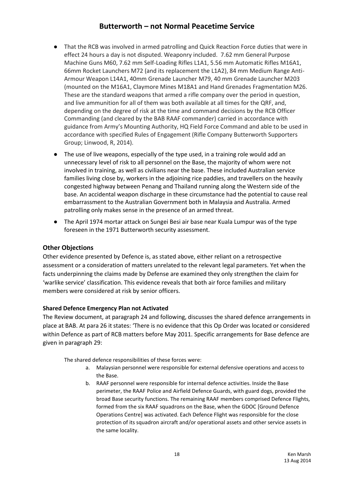- That the RCB was involved in armed patrolling and Quick Reaction Force duties that were in effect 24 hours a day is not disputed. Weaponry included. 7.62 mm General Purpose Machine Guns M60, 7.62 mm Self-Loading Rifles L1A1, 5.56 mm Automatic Rifles M16A1, 66mm Rocket Launchers M72 (and its replacement the L1A2), 84 mm Medium Range Anti-Armour Weapon L14A1, 40mm Grenade Launcher M79, 40 mm Grenade Launcher M203 (mounted on the M16A1, Claymore Mines M18A1 and Hand Grenades Fragmentation M26. These are the standard weapons that armed a rifle company over the period in question, and live ammunition for all of them was both available at all times for the QRF, and, depending on the degree of risk at the time and command decisions by the RCB Officer Commanding (and cleared by the BAB RAAF commander) carried in accordance with guidance from Army's Mounting Authority, HQ Field Force Command and able to be used in accordance with specified Rules of Engagement (Rifle Company Butterworth Supporters Group; Linwood, R, 2014).
- The use of live weapons, especially of the type used, in a training role would add an unnecessary level of risk to all personnel on the Base, the majority of whom were not involved in training, as well as civilians near the base. These included Australian service families living close by, workers in the adjoining rice paddies, and travellers on the heavily congested highway between Penang and Thailand running along the Western side of the base. An accidental weapon discharge in these circumstance had the potential to cause real embarrassment to the Australian Government both in Malaysia and Australia. Armed patrolling only makes sense in the presence of an armed threat.
- The April 1974 mortar attack on Sungei Besi air base near Kuala Lumpur was of the type foreseen in the 1971 Butterworth security assessment.

### **Other Objections**

Other evidence presented by Defence is, as stated above, either reliant on a retrospective assessment or a consideration of matters unrelated to the relevant legal parameters. Yet when the facts underpinning the claims made by Defense are examined they only strengthen the claim for 'warlike service' classification. This evidence reveals that both air force families and military members were considered at risk by senior officers.

#### **Shared Defence Emergency Plan not Activated**

The Review document, at paragraph 24 and following, discusses the shared defence arrangements in place at BAB. At para 26 it states: 'There is no evidence that this Op Order was located or considered within Defence as part of RCB matters before May 2011. Specific arrangements for Base defence are given in paragraph 29:

The shared defence responsibilities of these forces were:

- a. Malaysian personnel were responsible for external defensive operations and access to the Base.
- b. RAAF personnel were responsible for internal defence activities. Inside the Base perimeter, the RAAF Police and Airfield Defence Guards, with guard dogs, provided the broad Base security functions. The remaining RAAF members comprised Defence Flights, formed from the six RAAF squadrons on the Base, when the GDOC [Ground Defence Operations Centre] was activated. Each Defence Flight was responsible for the close protection of its squadron aircraft and/or operational assets and other service assets in the same locality.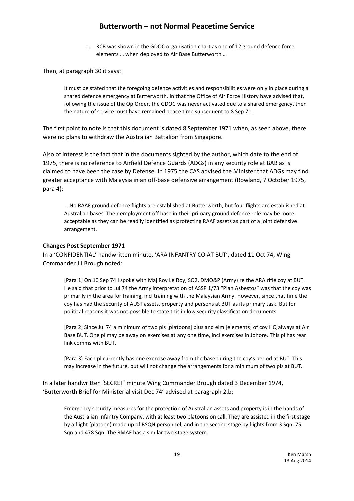c. RCB was shown in the GDOC organisation chart as one of 12 ground defence force elements … when deployed to Air Base Butterworth …

Then, at paragraph 30 it says:

It must be stated that the foregoing defence activities and responsibilities were only in place during a shared defence emergency at Butterworth. In that the Office of Air Force History have advised that, following the issue of the Op Order, the GDOC was never activated due to a shared emergency, then the nature of service must have remained peace time subsequent to 8 Sep 71.

The first point to note is that this document is dated 8 September 1971 when, as seen above, there were no plans to withdraw the Australian Battalion from Singapore.

Also of interest is the fact that in the documents sighted by the author, which date to the end of 1975, there is no reference to Airfield Defence Guards (ADGs) in any security role at BAB as is claimed to have been the case by Defense. In 1975 the CAS advised the Minister that ADGs may find greater acceptance with Malaysia in an off-base defensive arrangement (Rowland, 7 October 1975, para 4):

… No RAAF ground defence flights are established at Butterworth, but four flights are established at Australian bases. Their employment off base in their primary ground defence role may be more acceptable as they can be readily identified as protecting RAAF assets as part of a joint defensive arrangement.

#### **Changes Post September 1971**

In a 'CONFIDENTIAL' handwritten minute, 'ARA INFANTRY CO AT BUT', dated 11 Oct 74, Wing Commander J.I Brough noted:

[Para 1] On 10 Sep 74 I spoke with Maj Roy Le Roy, SO2, DMO&P (Army) re the ARA rifle coy at BUT. He said that prior to Jul 74 the Army interpretation of ASSP 1/73 "Plan Asbestos" was that the coy was primarily in the area for training, incl training with the Malaysian Army. However, since that time the coy has had the security of AUST assets, property and persons at BUT as its primary task. But for political reasons it was not possible to state this in low security classification documents.

[Para 2] Since Jul 74 a minimum of two pls [platoons] plus and elm [elements] of coy HQ always at Air Base BUT. One pl may be away on exercises at any one time, incl exercises in Johore. This pl has rear link comms with BUT.

[Para 3] Each pl currently has one exercise away from the base during the coy's period at BUT. This may increase in the future, but will not change the arrangements for a minimum of two pls at BUT.

In a later handwritten 'SECRET' minute Wing Commander Brough dated 3 December 1974, 'Butterworth Brief for Ministerial visit Dec 74' advised at paragraph 2.b:

Emergency security measures for the protection of Australian assets and property is in the hands of the Australian Infantry Company, with at least two platoons on call. They are assisted in the first stage by a flight (platoon) made up of BSQN personnel, and in the second stage by flights from 3 Sqn, 75 Sqn and 478 Sqn. The RMAF has a similar two stage system.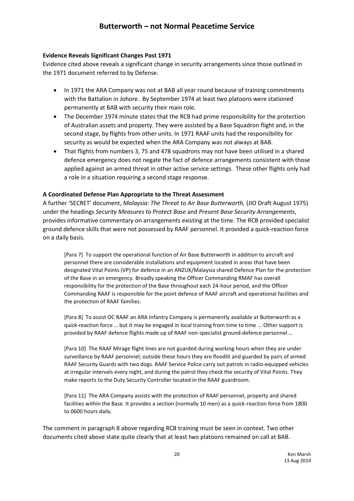#### **Evidence Reveals Significant Changes Post 1971**

Evidence cited above reveals a significant change in security arrangements since those outlined in the 1971 document referred to by Defense.

- In 1971 the ARA Company was not at BAB all year round because of training commitments with the Battalion in Johore. By September 1974 at least two platoons were stationed permanently at BAB with security their main role.
- The December 1974 minute states that the RCB had prime responsibility for the protection of Australian assets and property. They were assisted by a Base Squadron flight and, in the second stage, by flights from other units. In 1971 RAAF units had the responsibility for security as would be expected when the ARA Company was not always at BAB.
- That flights from numbers 3, 75 and 478 squadrons may not have been utilised in a shared defence emergency does not negate the fact of defence arrangements consistent with those applied against an armed threat in other active service settings. These other flights only had a role in a situation requiring a second stage response.

### **A Coordinated Defense Plan Appropriate to the Threat Assessment**

A further 'SECRET' document, *Malaysia: The Threat to Air Base Butterworth,* (JIO Draft August 1975) under the headings *Security Measures to Protect Base* and *Present Base Security Arrangements*, provides informative commentary on arrangements existing at the time. The RCB provided specialist ground defence skills that were not possessed by RAAF personnel. It provided a quick-reaction force on a daily basis.

[Para 7] To support the operational function of Air Base Butterworth in addition to aircraft and personnel there are considerable installations and equipment located in areas that have been designated Vital Points (VP) for defence in an ANZUK/Malaysia shared Defence Plan for the protection of the Base in an emergency. Broadly speaking the Officer Commanding RMAF has overall responsibility for the protection of the Base throughout each 24-hour period, and the Officer Commanding RAAF is responsible for the point defence of RAAF aircraft and operational facilities and the protection of RAAF families.

[Para 8] To assist OC RAAF an ARA Infantry Company is permanently available at Butterworth as a quick-reaction force … but it may be engaged in local training from time to time ... Other support is provided by RAAF defence flights made up of RAAF non-specialist ground-defence personnel …

[Para 10] The RAAF Mirage flight lines are not guarded during working hours when they are under surveillance by RAAF personnel; outside these hours they are floodlit and guarded by pairs of armed RAAF Security Guards with two dogs. RAAF Service Police carry out patrols in radio-equipped vehicles at irregular intervals every night, and during the patrol they check the security of Vital Points. They make reports to the Duty Security Controller located in the RAAF guardroom.

[Para 11] The ARA Company assists with the protection of RAAF personnel, property and shared facilities within the Base. It provides a section (normally 10 men) as a quick-reaction force from 1800 to 0600 hours daily.

The comment in paragraph 8 above regarding RCB training must be seen in context. Two other documents cited above state quite clearly that at least two platoons remained on call at BAB.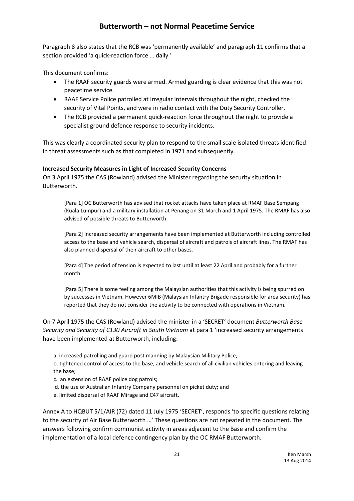Paragraph 8 also states that the RCB was 'permanently available' and paragraph 11 confirms that a section provided 'a quick-reaction force … daily.'

This document confirms:

- The RAAF security guards were armed. Armed guarding is clear evidence that this was not peacetime service.
- RAAF Service Police patrolled at irregular intervals throughout the night, checked the security of Vital Points, and were in radio contact with the Duty Security Controller.
- The RCB provided a permanent quick-reaction force throughout the night to provide a specialist ground defence response to security incidents.

This was clearly a coordinated security plan to respond to the small scale isolated threats identified in threat assessments such as that completed in 1971 and subsequently.

### **Increased Security Measures in Light of Increased Security Concerns**

On 3 April 1975 the CAS (Rowland) advised the Minister regarding the security situation in Butterworth.

[Para 1] OC Butterworth has advised that rocket attacks have taken place at RMAF Base Sempang (Kuala Lumpur) and a military installation at Penang on 31 March and 1 April 1975. The RMAF has also advised of possible threats to Butterworth.

[Para 2] Increased security arrangements have been implemented at Butterworth including controlled access to the base and vehicle search, dispersal of aircraft and patrols of aircraft lines. The RMAF has also planned dispersal of their aircraft to other bases.

[Para 4] The period of tension is expected to last until at least 22 April and probably for a further month.

[Para 5] There is some feeling among the Malaysian authorities that this activity is being spurred on by successes in Vietnam. However 6MIB (Malaysian Infantry Brigade responsible for area security) has reported that they do not consider the activity to be connected with operations in Vietnam.

On 7 April 1975 the CAS (Rowland) advised the minister in a 'SECRET' document *Butterworth Base Security and Security of C130 Aircraft in South Vietnam* at para 1 'increased security arrangements have been implemented at Butterworth, including:

a. increased patrolling and guard post manning by Malaysian Military Police;

b. tightened control of access to the base, and vehicle search of all civilian vehicles entering and leaving the base;

- c. an extension of RAAF police dog patrols;
- d. the use of Australian Infantry Company personnel on picket duty; and
- e. limited dispersal of RAAF Mirage and C47 aircraft.

Annex A to HQBUT 5/1/AIR (72) dated 11 July 1975 'SECRET', responds 'to specific questions relating to the security of Air Base Butterworth …' These questions are not repeated in the document. The answers following confirm communist activity in areas adjacent to the Base and confirm the implementation of a local defence contingency plan by the OC RMAF Butterworth.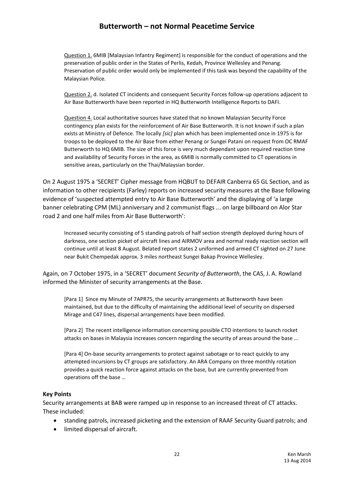Question 1. 6MIB [Malaysian Infantry Regiment] is responsible for the conduct of operations and the preservation of public order in the States of Perlis, Kedah, Province Wellesley and Penang. Preservation of public order would only be implemented if this task was beyond the capability of the Malaysian Police.

Question 2. d. Isolated CT incidents and consequent Security Forces follow-up operations adjacent to Air Base Butterworth have been reported in HQ Butterworth Intelligence Reports to DAFI.

Question 4. Local authoritative sources have stated that no known Malaysian Security Force contingency plan exists for the reinforcement of Air Base Butterworth. It is not known if such a plan exists at Ministry of Defence. The locally *[sic]* plan which has been implemented once in 1975 is for troops to be deployed to the Air Base from either Penang or Sungei Patani on request from OC RMAF Butterworth to HQ 6MIB. The size of this force is very much dependant upon required reaction time and availability of Security Forces in the area, as 6MIB is normally committed to CT operations in sensitive areas, particularly on the Thai/Malaysian border.

On 2 August 1975 a 'SECRET' Cipher message from HQBUT to DEFAIR Canberra 65 GL Section, and as information to other recipients (Farley) reports on increased security measures at the Base following evidence of 'suspected attempted entry to Air Base Butterworth' and the displaying of 'a large banner celebrating CPM (ML) anniversary and 2 communist flags ... on large billboard on Alor Star road 2 and one half miles from Air Base Butterworth':

Increased security consisting of 5 standing patrols of half section strength deployed during hours of darkness, one section picket of aircraft lines and AIRMOV area and normal ready reaction section will continue until at least 8 August. Belated report states 2 uniformed and armed CT sighted on 27 June near Bukit Chempedak approx. 3 miles northeast Sungei Bakap Province Wellesley.

Again, on 7 October 1975, in a 'SECRET' document *Security of Butterworth*, the CAS, J. A. Rowland informed the Minister of security arrangements at the Base.

[Para 1] Since my Minute of 7APR75, the security arrangements at Butterworth have been maintained, but due to the difficulty of maintaining the additional level of security on dispersed Mirage and C47 lines, dispersal arrangements have been modified.

[Para 2] The recent intelligence information concerning possible CTO intentions to launch rocket attacks on bases in Malaysia increases concern regarding the security of areas around the base …

[Para 4] On-base security arrangements to protect against sabotage or to react quickly to any attempted incursions by CT groups are satisfactory. An ARA Company on three monthly rotation provides a quick reaction force against attacks on the base, but are currently prevented from operations off the base …

#### **Key Points**

Security arrangements at BAB were ramped up in response to an increased threat of CT attacks. These included:

- standing patrols, increased picketing and the extension of RAAF Security Guard patrols; and
- limited dispersal of aircraft.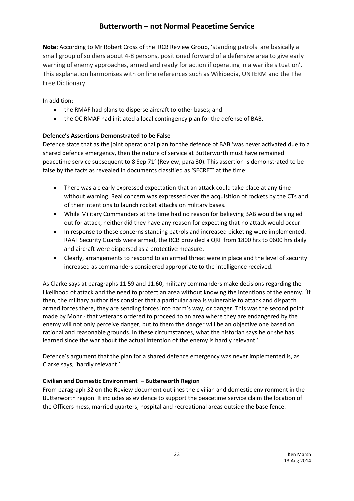**Note:** According to Mr Robert Cross of the RCB Review Group, 'standing patrols are basically a small group of soldiers about 4-8 persons, positioned forward of a defensive area to give early warning of enemy approaches, armed and ready for action if operating in a warlike situation'. This explanation harmonises with on line references such as Wikipedia, UNTERM and the The Free Dictionary.

In addition:

- the RMAF had plans to disperse aircraft to other bases; and
- the OC RMAF had initiated a local contingency plan for the defense of BAB.

### **Defence's Assertions Demonstrated to be False**

Defence state that as the joint operational plan for the defence of BAB 'was never activated due to a shared defence emergency, then the nature of service at Butterworth must have remained peacetime service subsequent to 8 Sep 71' (Review, para 30). This assertion is demonstrated to be false by the facts as revealed in documents classified as 'SECRET' at the time:

- There was a clearly expressed expectation that an attack could take place at any time without warning. Real concern was expressed over the acquisition of rockets by the CTs and of their intentions to launch rocket attacks on military bases.
- While Military Commanders at the time had no reason for believing BAB would be singled out for attack, neither did they have any reason for expecting that no attack would occur.
- In response to these concerns standing patrols and increased picketing were implemented. RAAF Security Guards were armed, the RCB provided a QRF from 1800 hrs to 0600 hrs daily and aircraft were dispersed as a protective measure.
- Clearly, arrangements to respond to an armed threat were in place and the level of security increased as commanders considered appropriate to the intelligence received.

As Clarke says at paragraphs 11.59 and 11.60, military commanders make decisions regarding the likelihood of attack and the need to protect an area without knowing the intentions of the enemy. 'If then, the military authorities consider that a particular area is vulnerable to attack and dispatch armed forces there, they are sending forces into harm's way, or danger. This was the second point made by Mohr - that veterans ordered to proceed to an area where they are endangered by the enemy will not only perceive danger, but to them the danger will be an objective one based on rational and reasonable grounds. In these circumstances, what the historian says he or she has learned since the war about the actual intention of the enemy is hardly relevant.'

Defence's argument that the plan for a shared defence emergency was never implemented is, as Clarke says, 'hardly relevant.'

### **Civilian and Domestic Environment – Butterworth Region**

From paragraph 32 on the Review document outlines the civilian and domestic environment in the Butterworth region. It includes as evidence to support the peacetime service claim the location of the Officers mess, married quarters, hospital and recreational areas outside the base fence.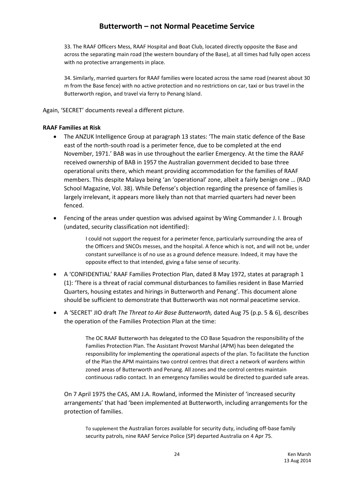33. The RAAF Officers Mess, RAAF Hospital and Boat Club, located directly opposite the Base and across the separating main road (the western boundary of the Base), at all times had fully open access with no protective arrangements in place.

34. Similarly, married quarters for RAAF families were located across the same road (nearest about 30 m from the Base fence) with no active protection and no restrictions on car, taxi or bus travel in the Butterworth region, and travel via ferry to Penang Island.

Again, 'SECRET' documents reveal a different picture.

#### **RAAF Families at Risk**

- The ANZUK Intelligence Group at paragraph 13 states: 'The main static defence of the Base east of the north-south road is a perimeter fence, due to be completed at the end November, 1971.' BAB was in use throughout the earlier Emergency. At the time the RAAF received ownership of BAB in 1957 the Australian government decided to base three operational units there, which meant providing accommodation for the families of RAAF members. This despite Malaya being 'an 'operational' zone, albeit a fairly benign one … (RAD School Magazine, Vol. 38). While Defense's objection regarding the presence of families is largely irrelevant, it appears more likely than not that married quarters had never been fenced.
- Fencing of the areas under question was advised against by Wing Commander J. I. Brough (undated, security classification not identified):

I could not support the request for a perimeter fence, particularly surrounding the area of the Officers and SNCOs messes, and the hospital. A fence which is not, and will not be, under constant surveillance is of no use as a ground defence measure. Indeed, it may have the opposite effect to that intended, giving a false sense of security.

- A 'CONFIDENTIAL' RAAF Families Protection Plan, dated 8 May 1972, states at paragraph 1 (1): 'There is a threat of racial communal disturbances to families resident in Base Married Quarters, housing estates and hirings in Butterworth and Penang'. This document alone should be sufficient to demonstrate that Butterworth was not normal peacetime service.
- A 'SECRET' JIO draft *The Threat to Air Base Butterworth,* dated Aug 75 (p.p. 5 & 6), describes the operation of the Families Protection Plan at the time:

The OC RAAF Butterworth has delegated to the CO Base Squadron the responsibility of the Families Protection Plan. The Assistant Provost Marshal (APM) has been delegated the responsibility for implementing the operational aspects of the plan. To facilitate the function of the Plan the APM maintains two control centres that direct a network of wardens within zoned areas of Butterworth and Penang. All zones and the control centres maintain continuous radio contact. In an emergency families would be directed to guarded safe areas.

On 7 April 1975 the CAS, AM J.A. Rowland, informed the Minister of 'increased security arrangements' that had 'been implemented at Butterworth, including arrangements for the protection of families.

To supplement the Australian forces available for security duty, including off-base family security patrols, nine RAAF Service Police (SP) departed Australia on 4 Apr 75.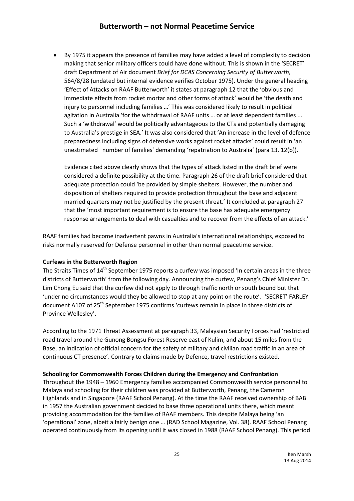By 1975 it appears the presence of families may have added a level of complexity to decision making that senior military officers could have done without. This is shown in the 'SECRET' draft Department of Air document *Brief for DCAS Concerning Security of Butterworth,* 564/8/28 (undated but internal evidence verifies October 1975). Under the general heading 'Effect of Attacks on RAAF Butterworth' it states at paragraph 12 that the 'obvious and immediate effects from rocket mortar and other forms of attack' would be 'the death and injury to personnel including families …' This was considered likely to result in political agitation in Australia 'for the withdrawal of RAAF units ... or at least dependent families ... Such a 'withdrawal' would be politically advantageous to the CTs and potentially damaging to Australia's prestige in SEA.' It was also considered that 'An increase in the level of defence preparedness including signs of defensive works against rocket attacks' could result in 'an unestimated number of families' demanding 'repatriation to Australia' (para 13. 12(b)).

Evidence cited above clearly shows that the types of attack listed in the draft brief were considered a definite possibility at the time. Paragraph 26 of the draft brief considered that adequate protection could 'be provided by simple shelters. However, the number and disposition of shelters required to provide protection throughout the base and adjacent married quarters may not be justified by the present threat.' It concluded at paragraph 27 that the 'most important requirement is to ensure the base has adequate emergency response arrangements to deal with casualties and to recover from the effects of an attack.'

RAAF families had become inadvertent pawns in Australia's international relationships, exposed to risks normally reserved for Defense personnel in other than normal peacetime service.

#### **Curfews in the Butterworth Region**

The Straits Times of 14<sup>th</sup> September 1975 reports a curfew was imposed 'In certain areas in the three districts of Butterworth' from the following day. Announcing the curfew, Penang's Chief Minister Dr. Lim Chong Eu said that the curfew did not apply to through traffic north or south bound but that 'under no circumstances would they be allowed to stop at any point on the route'. 'SECRET' FARLEY document A107 of 25<sup>th</sup> September 1975 confirms 'curfews remain in place in three districts of Province Wellesley'.

According to the 1971 Threat Assessment at paragraph 33, Malaysian Security Forces had 'restricted road travel around the Gunong Bongsu Forest Reserve east of Kulim, and about 15 miles from the Base, an indication of official concern for the safety of military and civilian road traffic in an area of continuous CT presence'. Contrary to claims made by Defence, travel restrictions existed.

### **Schooling for Commonwealth Forces Children during the Emergency and Confrontation**

Throughout the 1948 – 1960 Emergency families accompanied Commonwealth service personnel to Malaya and schooling for their children was provided at Butterworth, Penang, the Cameron Highlands and in Singapore (RAAF School Penang). At the time the RAAF received ownership of BAB in 1957 the Australian government decided to base three operational units there, which meant providing accommodation for the families of RAAF members. This despite Malaya being 'an 'operational' zone, albeit a fairly benign one … (RAD School Magazine, Vol. 38). RAAF School Penang operated continuously from its opening until it was closed in 1988 (RAAF School Penang). This period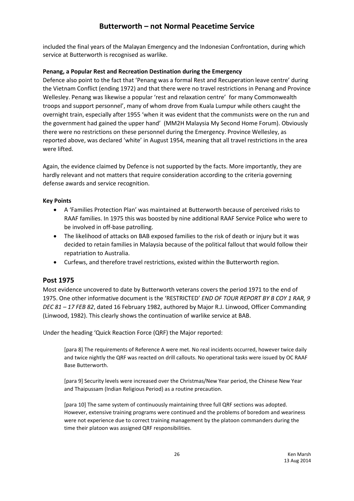included the final years of the Malayan Emergency and the Indonesian Confrontation, during which service at Butterworth is recognised as warlike.

### **Penang, a Popular Rest and Recreation Destination during the Emergency**

Defence also point to the fact that 'Penang was a formal Rest and Recuperation leave centre' during the Vietnam Conflict (ending 1972) and that there were no travel restrictions in Penang and Province Wellesley. Penang was likewise a popular 'rest and relaxation centre' for many Commonwealth troops and support personnel', many of whom drove from Kuala Lumpur while others caught the overnight train, especially after 1955 'when it was evident that the communists were on the run and the government had gained the upper hand' (MM2H Malaysia My Second Home Forum). Obviously there were no restrictions on these personnel during the Emergency. Province Wellesley, as reported above, was declared 'white' in August 1954, meaning that all travel restrictions in the area were lifted.

Again, the evidence claimed by Defence is not supported by the facts. More importantly, they are hardly relevant and not matters that require consideration according to the criteria governing defense awards and service recognition.

#### **Key Points**

- A 'Families Protection Plan' was maintained at Butterworth because of perceived risks to RAAF families. In 1975 this was boosted by nine additional RAAF Service Police who were to be involved in off-base patrolling.
- The likelihood of attacks on BAB exposed families to the risk of death or injury but it was decided to retain families in Malaysia because of the political fallout that would follow their repatriation to Australia.
- Curfews, and therefore travel restrictions, existed within the Butterworth region.

### **Post 1975**

Most evidence uncovered to date by Butterworth veterans covers the period 1971 to the end of 1975. One other informative document is the 'RESTRICTED' *END OF TOUR REPORT BY B COY 1 RAR, 9 DEC 81 – 17 FEB 82*, dated 16 February 1982, authored by Major R.J. Linwood, Officer Commanding (Linwood, 1982). This clearly shows the continuation of warlike service at BAB.

Under the heading 'Quick Reaction Force (QRF) the Major reported:

[para 8] The requirements of Reference A were met. No real incidents occurred, however twice daily and twice nightly the QRF was reacted on drill callouts. No operational tasks were issued by OC RAAF Base Butterworth.

[para 9] Security levels were increased over the Christmas/New Year period, the Chinese New Year and Thaipussam (Indian Religious Period) as a routine precaution.

[para 10] The same system of continuously maintaining three full QRF sections was adopted. However, extensive training programs were continued and the problems of boredom and weariness were not experience due to correct training management by the platoon commanders during the time their platoon was assigned QRF responsibilities.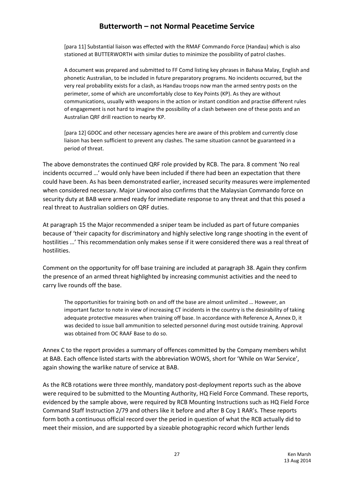[para 11] Substantial liaison was effected with the RMAF Commando Force (Handau) which is also stationed at BUTTERWORTH with similar duties to minimize the possibility of patrol clashes.

A document was prepared and submitted to FF Comd listing key phrases in Bahasa Malay, English and phonetic Australian, to be included in future preparatory programs. No incidents occurred, but the very real probability exists for a clash, as Handau troops now man the armed sentry posts on the perimeter, some of which are uncomfortably close to Key Points (KP). As they are without communications, usually with weapons in the action or instant condition and practise different rules of engagement is not hard to imagine the possibility of a clash between one of these posts and an Australian QRF drill reaction to nearby KP.

[para 12] GDOC and other necessary agencies here are aware of this problem and currently close liaison has been sufficient to prevent any clashes. The same situation cannot be guaranteed in a period of threat.

The above demonstrates the continued QRF role provided by RCB. The para. 8 comment 'No real incidents occurred …' would only have been included if there had been an expectation that there could have been. As has been demonstrated earlier, increased security measures were implemented when considered necessary. Major Linwood also confirms that the Malaysian Commando force on security duty at BAB were armed ready for immediate response to any threat and that this posed a real threat to Australian soldiers on QRF duties.

At paragraph 15 the Major recommended a sniper team be included as part of future companies because of 'their capacity for discriminatory and highly selective long range shooting in the event of hostilities …' This recommendation only makes sense if it were considered there was a real threat of hostilities.

Comment on the opportunity for off base training are included at paragraph 38. Again they confirm the presence of an armed threat highlighted by increasing communist activities and the need to carry live rounds off the base.

The opportunities for training both on and off the base are almost unlimited … However, an important factor to note in view of increasing CT incidents in the country is the desirability of taking adequate protective measures when training off base. In accordance with Reference A, Annex D, it was decided to issue ball ammunition to selected personnel during most outside training. Approval was obtained from OC RAAF Base to do so.

Annex C to the report provides a summary of offences committed by the Company members whilst at BAB. Each offence listed starts with the abbreviation WOWS, short for 'While on War Service', again showing the warlike nature of service at BAB.

As the RCB rotations were three monthly, mandatory post-deployment reports such as the above were required to be submitted to the Mounting Authority, HQ Field Force Command. These reports, evidenced by the sample above, were required by RCB Mounting Instructions such as HQ Field Force Command Staff Instruction 2/79 and others like it before and after B Coy 1 RAR's. These reports form both a continuous official record over the period in question of what the RCB actually did to meet their mission, and are supported by a sizeable photographic record which further lends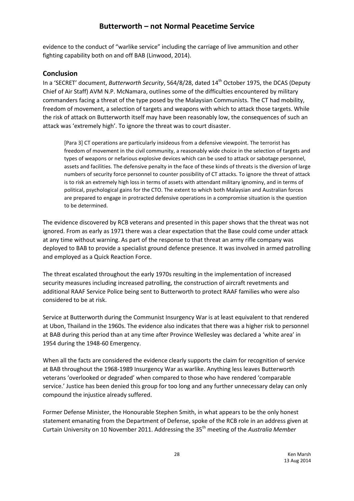evidence to the conduct of "warlike service" including the carriage of live ammunition and other fighting capability both on and off BAB (Linwood, 2014).

### **Conclusion**

In a 'SECRET' document, *Butterworth Security*, 564/8/28, dated 14th October 1975, the DCAS (Deputy Chief of Air Staff) AVM N.P. McNamara, outlines some of the difficulties encountered by military commanders facing a threat of the type posed by the Malaysian Communists. The CT had mobility, freedom of movement, a selection of targets and weapons with which to attack those targets. While the risk of attack on Butterworth itself may have been reasonably low, the consequences of such an attack was 'extremely high'. To ignore the threat was to court disaster.

[Para 3] CT operations are particularly insideous from a defensive viewpoint. The terrorist has freedom of movement in the civil community, a reasonably wide choice in the selection of targets and types of weapons or nefarious explosive devices which can be used to attack or sabotage personnel, assets and facilities. The defensive penalty in the face of these kinds of threats is the diversion of large numbers of security force personnel to counter possibility of CT attacks. To ignore the threat of attack is to risk an extremely high loss in terms of assets with attendant military ignominy, and in terms of political, psychological gains for the CTO. The extent to which both Malaysian and Australian forces are prepared to engage in protracted defensive operations in a compromise situation is the question to be determined.

The evidence discovered by RCB veterans and presented in this paper shows that the threat was not ignored. From as early as 1971 there was a clear expectation that the Base could come under attack at any time without warning. As part of the response to that threat an army rifle company was deployed to BAB to provide a specialist ground defence presence. It was involved in armed patrolling and employed as a Quick Reaction Force.

The threat escalated throughout the early 1970s resulting in the implementation of increased security measures including increased patrolling, the construction of aircraft revetments and additional RAAF Service Police being sent to Butterworth to protect RAAF families who were also considered to be at risk.

Service at Butterworth during the Communist Insurgency War is at least equivalent to that rendered at Ubon, Thailand in the 1960s. The evidence also indicates that there was a higher risk to personnel at BAB during this period than at any time after Province Wellesley was declared a 'white area' in 1954 during the 1948-60 Emergency.

When all the facts are considered the evidence clearly supports the claim for recognition of service at BAB throughout the 1968-1989 Insurgency War as warlike. Anything less leaves Butterworth veterans 'overlooked or degraded' when compared to those who have rendered 'comparable service.' Justice has been denied this group for too long and any further unnecessary delay can only compound the injustice already suffered.

Former Defense Minister, the Honourable Stephen Smith, in what appears to be the only honest statement emanating from the Department of Defense, spoke of the RCB role in an address given at Curtain University on 10 November 2011. Addressing the 35th meeting of the *Australia Member*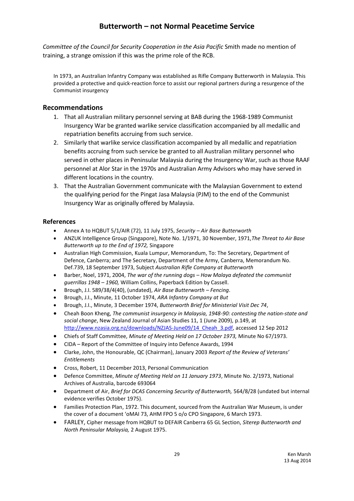*Committee of the Council for Security Cooperation in the Asia Pacific* Smith made no mention of training, a strange omission if this was the prime role of the RCB.

In 1973, an Australian Infantry Company was established as Rifle Company Butterworth in Malaysia. This provided a protective and quick-reaction force to assist our regional partners during a resurgence of the Communist insurgency

### **Recommendations**

- 1. That all Australian military personnel serving at BAB during the 1968-1989 Communist Insurgency War be granted warlike service classification accompanied by all medallic and repatriation benefits accruing from such service.
- 2. Similarly that warlike service classification accompanied by all medallic and repatriation benefits accruing from such service be granted to all Australian military personnel who served in other places in Peninsular Malaysia during the Insurgency War, such as those RAAF personnel at Alor Star in the 1970s and Australian Army Advisors who may have served in different locations in the country.
- 3. That the Australian Government communicate with the Malaysian Government to extend the qualifying period for the Pingat Jasa Malaysia (PJM) to the end of the Communist Insurgency War as originally offered by Malaysia.

### **References**

- Annex A to HQBUT 5/1/AIR (72), 11 July 1975, *Security – Air Base Butterworth*
- ANZUK Intelligence Group (Singapore), Note No. 1/1971, 30 November, 1971,*The Threat to Air Base Butterworth up to the End of 1972,* Singapore
- Australian High Commission, Kuala Lumpur, Memorandum, To: The Secretary, Department of Defence, Canberra; and The Secretary, Department of the Army, Canberra, Memorandum No. Def.739, 18 September 1973, Subject *Australian Rifle Company at Butterworth*
- Barber, Noel, 1971, 2004, *The war of the running dogs – How Malaya defeated the communist guerrillas 1948 – 1960,* William Collins, Paperback Edition by Cassell.
- Brough, J.I. 589/38/4(40), (undated), *Air Base Butterworth – Fencing*.
- Brough, J.I., Minute, 11 October 1974, *ARA Infantry Company at But*
- Brough, J.I., Minute, 3 December 1974, *Butterworth Brief for Ministerial Visit Dec 74*,
- Cheah Boon Kheng, *The communist insurgency in Malaysia, 1948-90: contesting the nation-state and social change*, New Zealand Journal of Asian Studies 11, 1 (June 2009), p.149, at [http://www.nzasia.org.nz/downloads/NZJAS-June09/14\\_Cheah\\_3.pdf,](http://www.nzasia.org.nz/downloads/NZJAS-June09/14_Cheah_3.pdf) accessed 12 Sep 2012
- Chiefs of Staff Committee, *Minute of Meeting Held on 17 October 1973,* Minute No 67/1973.
- CIDA Report of the Committee of Inquiry into Defence Awards, 1994
- Clarke, John, the Honourable, QC (Chairman), January 2003 *Report of the Review of Veterans' Entitlements*
- Cross, Robert, 11 December 2013, Personal Communication
- Defence Committee, *Minute of Meeting Held on 11 January 1973*, Minute No. 2/1973, National Archives of Australia, barcode 693064
- Department of Air, *Brief for DCAS Concerning Security of Butterworth,* 564/8/28 (undated but internal evidence verifies October 1975).
- Families Protection Plan, 1972. This document, sourced from the Australian War Museum, is under the cover of a document 'oMAI 73, AHM FPO 5 o/o CPO Singapore, 6 March 1973.
- FARLEY, Cipher message from HQBUT to DEFAIR Canberra 65 GL Section, *Siterep Butterworth and North Peninsular Malaysia,* 2 August 1975.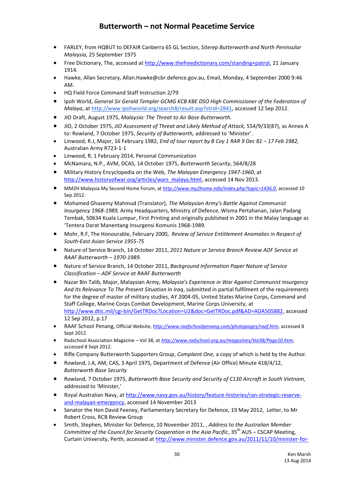- FARLEY, from HQBUT to DEFAIR Canberra 65 GL Section, *Siterep Butterworth and North Peninsular Malaysia,* 25 September 1975
- Free Dictionary, The, accessed a[t http://www.thefreedictionary.com/standing+patrol,](http://www.thefreedictionary.com/standing+patrol) 21 January 1914.
- Hawke, Allan Secretary, Allan.Hawke@cbr.defence.gov.au, Email, Monday, 4 September 2000 9:46 AM.
- HQ Field Force Command Staff Instruction 2/79
- Ipoh World, *General Sir Gerald Templer GCMG KCB KBE DSO High Commissioner of the Federation of Malaya*, at [http://www.ipohworld.org/search8/result.asp?strid=2841,](http://www.ipohworld.org/search8/result.asp?strid=2841) accessed 12 Sep 2012.
- JIO Draft, August 1975, *Malaysia: The Threat to Air Base Butterworth.*
- JIO, 2 October 1975, *JIO Assessment of Threat and Likely Method of Attack,* 554/9/33(87), as Annex A to: Rowland, 7 October 1975, *Security of Butterworth,* addressed to 'Minister'.
- Linwood, R.J, Major, 16 February 1982, *End of tour report by B Coy 1 RAR 9 Dec 81 – 17 Feb 1982,* Australian Army R723-1-1
- Linwood, R, 1 February 2014, Personal Communication
- McNamara, N.P., AVM, DCAS, 14 October 1975, *Butterworth Security*, 564/8/28
- Military History Encyclopedia on the Web, *The Malayan Emergency 1947-1960*, at [http://www.historyofwar.org/articles/wars\\_malaya.html,](http://www.historyofwar.org/articles/wars_malaya.html) accessed 14 Nov 2013.
- MM2H Malaysia My Second Home Forum, at *<http://www.my2home.info/index.php?topic=1436.0>*, accessed 10 Sep 2012.
- Mohamed Ghazemy Mahmud (Translator), *The Malaysian Army's Battle Against Communist Insurgency 1968-1989,* Army Headquarters, Ministry of Defence, Wisma Pertahanan, Jalan Padang Tembak, 50634 Kuala Lumpur, First Printing and originally published in 2001 in the Malay language as 'Tentera Darat Manentang Insurgensi Komunis 1968-1989.
- Mohr, R.F, The Honourable, February 2000, *Review of Service Entitlement Anomalies in Respect of South-East Asian Service 1955-75*
- Nature of Service Branch, 14 October 2011, *2011 Nature or Service Branch Review ADF Service at RAAF Butterworth – 1970-1989.*
- Nature of Service Branch, 14 October 2011, *Background Information Paper Nature of Service Classification – ADF Service at RAAF Butterworth*
- Nazar Bin Talib, Major, Malaysian Army, *Malaysia's Experience in War Against Communist Insurgency And Its Relevance To The Present Situation In Iraq*, submitted in partial fulfilment of the requirements for the degree of master of military studies, AY 2004-05, United States Marine Corps, Command and Staff College, Marine Corps Combat Development, Marine Corps University, at [http://www.dtic.mil/cgi-bin/GetTRDoc?Location=U2&doc=GetTRDoc.pdf&AD=ADA505882,](http://www.dtic.mil/cgi-bin/GetTRDoc?Location=U2&doc=GetTRDoc.pdf&AD=ADA505882) accessed 12 Sep 2012, p.17
- RAAF School Penang, Official Website, *<http://www.raafschoolpenang.com/photopages/raaf.htm>*, accessed 8 Sept 2012.
- Radschool Association Magazine Vol 38, at *<http://www.radschool.org.au/magazines/Vol38/Page10.htm>*, accessed 8 Sept 2012.
- Rifle Company Butterworth Supporters Group, *Complaint One,* a copy of which is held by the Author.
- Rowland, J.A, AM, CAS, 3 April 1975, Department of Defence (Air Office) Minute 418/4/12, *Butterworth Base Security*
- Rowland, 7 October 1975, *Butterworth Base Security and Security of C130 Aircraft in South Vietnam,* addressed to 'Minister,'
- Royal Australian Navy, a[t http://www.navy.gov.au/history/feature-histories/ran-strategic-reserve](http://www.navy.gov.au/history/feature-histories/ran-strategic-reserve-and-malayan-emergency)[and-malayan-emergency,](http://www.navy.gov.au/history/feature-histories/ran-strategic-reserve-and-malayan-emergency) accessed 14 November 2013
- Senator the Hon David Feeney, Parliamentary Secretary for Defence, 19 May 2012, Letter, to Mr Robert Cross, RCB Review Group
- Smith, Stephen, Minister for Defence, 10 November 2011, , *Address to the Australian Member Committee of the Council for Security Cooperation in the Asia Pacific*, 35<sup>th</sup> AUS – CSCAP Meeting, Curtain University, Perth, accessed a[t http://www.minister.defence.gov.au/2011/11/10/minister-for-](http://www.minister.defence.gov.au/2011/11/10/minister-for-defence-address-to-the-australian-member-committee-of-the-council-for-security-cooperation-in-the-asia-pacific/)